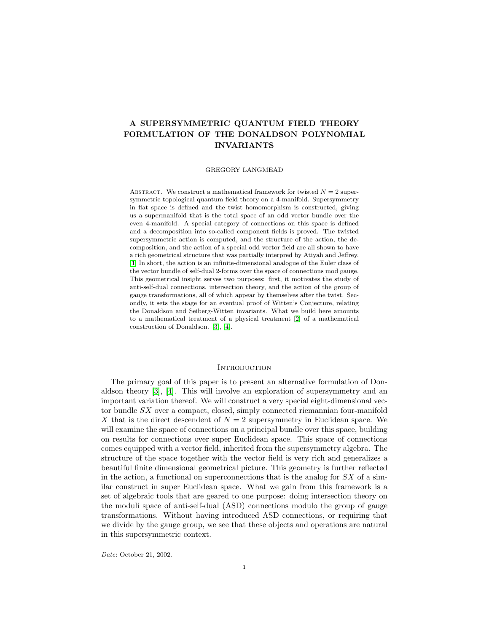# A SUPERSYMMETRIC QUANTUM FIELD THEORY FORMULATION OF THE DONALDSON POLYNOMIAL INVARIANTS

### GREGORY LANGMEAD

ABSTRACT. We construct a mathematical framework for twisted  $N = 2$  supersymmetric topological quantum field theory on a 4-manifold. Supersymmetry in flat space is defined and the twist homomorphism is constructed, giving us a supermanifold that is the total space of an odd vector bundle over the even 4-manifold. A special category of connections on this space is defined and a decomposition into so-called component fields is proved. The twisted supersymmetric action is computed, and the structure of the action, the decomposition, and the action of a special odd vector field are all shown to have a rich geometrical structure that was partially interpred by Atiyah and Jeffrey. [\[1\]](#page-38-0) In short, the action is an infinite-dimensional analogue of the Euler class of the vector bundle of self-dual 2-forms over the space of connections mod gauge. This geometrical insight serves two purposes: first, it motivates the study of anti-self-dual connections, intersection theory, and the action of the group of gauge transformations, all of which appear by themselves after the twist. Secondly, it sets the stage for an eventual proof of Witten's Conjecture, relating the Donaldson and Seiberg-Witten invariants. What we build here amounts to a mathematical treatment of a physical treatment [\[2\]](#page-38-1) of a mathematical construction of Donaldson. [\[3\]](#page-38-2), [\[4\]](#page-38-3).

# **INTRODUCTION**

The primary goal of this paper is to present an alternative formulation of Donaldson theory [\[3\]](#page-38-2), [\[4\]](#page-38-3). This will involve an exploration of supersymmetry and an important variation thereof. We will construct a very special eight-dimensional vector bundle SX over a compact, closed, simply connected riemannian four-manifold X that is the direct descendent of  $N = 2$  supersymmetry in Euclidean space. We will examine the space of connections on a principal bundle over this space, building on results for connections over super Euclidean space. This space of connections comes equipped with a vector field, inherited from the supersymmetry algebra. The structure of the space together with the vector field is very rich and generalizes a beautiful finite dimensional geometrical picture. This geometry is further reflected in the action, a functional on superconnections that is the analog for  $SX$  of a similar construct in super Euclidean space. What we gain from this framework is a set of algebraic tools that are geared to one purpose: doing intersection theory on the moduli space of anti-self-dual (ASD) connections modulo the group of gauge transformations. Without having introduced ASD connections, or requiring that we divide by the gauge group, we see that these objects and operations are natural in this supersymmetric context.

Date: October 21, 2002.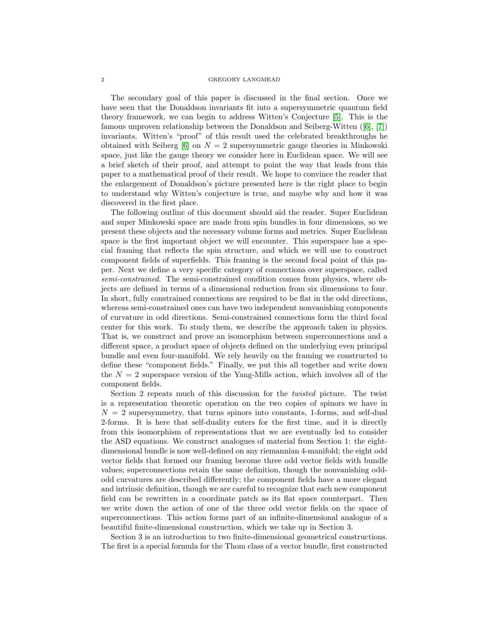### 2 GREGORY LANGMEAD

The secondary goal of this paper is discussed in the final section. Once we have seen that the Donaldson invariants fit into a supersymmetric quantum field theory framework, we can begin to address Witten's Conjecture [\[5\]](#page-38-4). This is the famous unproven relationship between the Donaldson and Seiberg-Witten([\[6\]](#page-38-5), [\[7\]](#page-38-6)) invariants. Witten's "proof" of this result used the celebrated breakthroughs he obtained with Seiberg  $[6]$  on  $N = 2$  supersymmetric gauge theories in Minkowski space, just like the gauge theory we consider here in Euclidean space. We will see a brief sketch of their proof, and attempt to point the way that leads from this paper to a mathematical proof of their result. We hope to convince the reader that the enlargement of Donaldson's picture presented here is the right place to begin to understand why Witten's conjecture is true, and maybe why and how it was discovered in the first place.

The following outline of this document should aid the reader. Super Euclidean and super Minkowski space are made from spin bundles in four dimensions, so we present these objects and the necessary volume forms and metrics. Super Euclidean space is the first important object we will encounter. This superspace has a special framing that reflects the spin structure, and which we will use to construct component fields of superfields. This framing is the second focal point of this paper. Next we define a very specific category of connections over superspace, called semi-constrained. The semi-constrained condition comes from physics, where objects are defined in terms of a dimensional reduction from six dimensions to four. In short, fully constrained connections are required to be flat in the odd directions, whereas semi-constrained ones can have two independent nonvanishing components of curvature in odd directions. Semi-constrained connections form the third focal center for this work. To study them, we describe the approach taken in physics. That is, we construct and prove an isomorphism between superconnections and a different space, a product space of objects defined on the underlying even principal bundle and even four-manifold. We rely heavily on the framing we constructed to define these "component fields." Finally, we put this all together and write down the  $N = 2$  superspace version of the Yang-Mills action, which involves all of the component fields.

Section 2 repeats much of this discussion for the twisted picture. The twist is a representation theoretic operation on the two copies of spinors we have in  $N = 2$  supersymmetry, that turns spinors into constants, 1-forms, and self-dual 2-forms. It is here that self-duality enters for the first time, and it is directly from this isomorphism of representations that we are eventually led to consider the ASD equations. We construct analogues of material from Section 1: the eightdimensional bundle is now well-defined on any riemannian 4-manifold; the eight odd vector fields that formed our framing become three odd vector fields with bundle values; superconnections retain the same definition, though the nonvanishing oddodd curvatures are described differently; the component fields have a more elegant and intrinsic definition, though we are careful to recognize that each new component field can be rewritten in a coordinate patch as its flat space counterpart. Then we write down the action of one of the three odd vector fields on the space of superconnections. This action forms part of an infinite-dimensional analogue of a beautiful finite-dimensional construction, which we take up in Section 3.

Section 3 is an introduction to two finite-dimensional geometrical constructions. The first is a special formula for the Thom class of a vector bundle, first constructed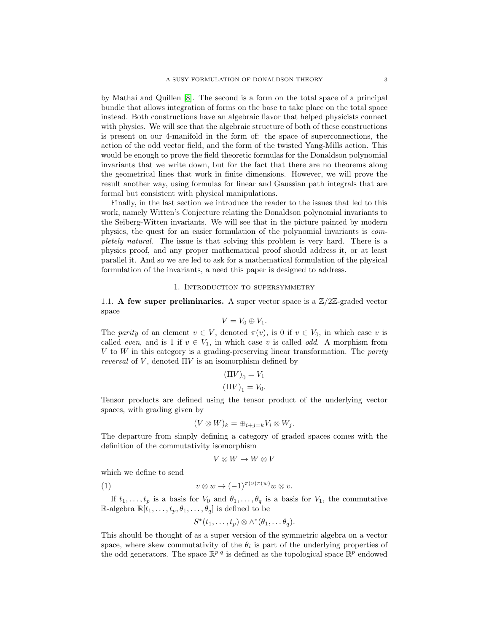by Mathai and Quillen [\[8\]](#page-38-7). The second is a form on the total space of a principal bundle that allows integration of forms on the base to take place on the total space instead. Both constructions have an algebraic flavor that helped physicists connect with physics. We will see that the algebraic structure of both of these constructions is present on our 4-manifold in the form of: the space of superconnections, the action of the odd vector field, and the form of the twisted Yang-Mills action. This would be enough to prove the field theoretic formulas for the Donaldson polynomial invariants that we write down, but for the fact that there are no theorems along the geometrical lines that work in finite dimensions. However, we will prove the result another way, using formulas for linear and Gaussian path integrals that are formal but consistent with physical manipulations.

Finally, in the last section we introduce the reader to the issues that led to this work, namely Witten's Conjecture relating the Donaldson polynomial invariants to the Seiberg-Witten invariants. We will see that in the picture painted by modern physics, the quest for an easier formulation of the polynomial invariants is completely natural. The issue is that solving this problem is very hard. There is a physics proof, and any proper mathematical proof should address it, or at least parallel it. And so we are led to ask for a mathematical formulation of the physical formulation of the invariants, a need this paper is designed to address.

### 1. Introduction to supersymmetry

1.1. A few super preliminaries. A super vector space is a  $\mathbb{Z}/2\mathbb{Z}$ -graded vector space

$$
V=V_0\oplus V_1.
$$

The parity of an element  $v \in V$ , denoted  $\pi(v)$ , is 0 if  $v \in V_0$ , in which case v is called *even*, and is 1 if  $v \in V_1$ , in which case v is called *odd*. A morphism from  $V$  to  $W$  in this category is a grading-preserving linear transformation. The *parity reversal* of  $V$ , denoted  $\Pi V$  is an isomorphism defined by

$$
\begin{aligned} (\Pi V)_0 &= V_1 \\ (\Pi V)_1 &= V_0. \end{aligned}
$$

Tensor products are defined using the tensor product of the underlying vector spaces, with grading given by

$$
(V \otimes W)_k = \bigoplus_{i+j=k} V_i \otimes W_j.
$$

The departure from simply defining a category of graded spaces comes with the definition of the commutativity isomorphism

$$
V \otimes W \to W \otimes V
$$

which we define to send

(1) 
$$
v \otimes w \to (-1)^{\pi(v)\pi(w)} w \otimes v.
$$

If  $t_1, \ldots, t_p$  is a basis for  $V_0$  and  $\theta_1, \ldots, \theta_q$  is a basis for  $V_1$ , the commutative R-algebra  $\mathbb{R}[t_1,\ldots,t_p,\theta_1,\ldots,\theta_q]$  is defined to be

$$
S^*(t_1,\ldots,t_p)\otimes \wedge^*(\theta_1,\ldots\theta_q).
$$

This should be thought of as a super version of the symmetric algebra on a vector space, where skew commutativity of the  $\theta_i$  is part of the underlying properties of the odd generators. The space  $\mathbb{R}^{p|q}$  is defined as the topological space  $\mathbb{R}^p$  endowed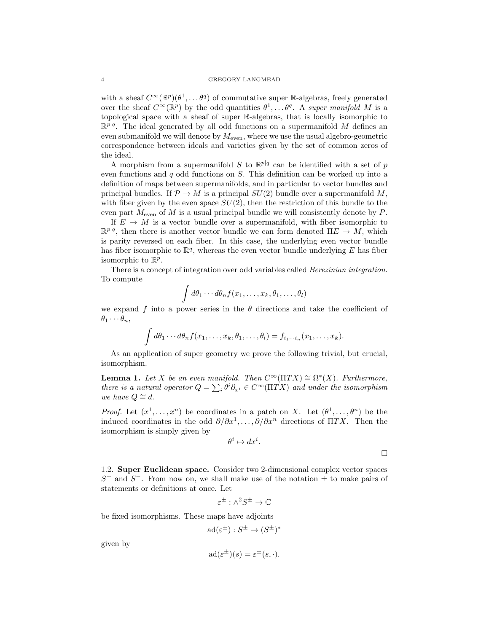### 4 GREGORY LANGMEAD

with a sheaf  $C^{\infty}(\mathbb{R}^p)(\theta^1,\ldots,\theta^q)$  of commutative super R-algebras, freely generated over the sheaf  $C^{\infty}(\mathbb{R}^p)$  by the odd quantities  $\theta^1, \ldots, \theta^q$ . A super manifold M is a topological space with a sheaf of super R-algebras, that is locally isomorphic to  $\mathbb{R}^{p|q}$ . The ideal generated by all odd functions on a supermanifold M defines an even submanifold we will denote by  $M_{\text{even}}$ , where we use the usual algebro-geometric correspondence between ideals and varieties given by the set of common zeros of the ideal.

A morphism from a supermanifold S to  $\mathbb{R}^{p|q}$  can be identified with a set of p even functions and  $q$  odd functions on  $S$ . This definition can be worked up into a definition of maps between supermanifolds, and in particular to vector bundles and principal bundles. If  $\mathcal{P} \to M$  is a principal  $SU(2)$  bundle over a supermanifold M, with fiber given by the even space  $SU(2)$ , then the restriction of this bundle to the even part  $M_{\text{even}}$  of M is a usual principal bundle we will consistently denote by P.

If  $E \to M$  is a vector bundle over a supermanifold, with fiber isomorphic to  $\mathbb{R}^{p|q}$ , then there is another vector bundle we can form denoted  $\Pi E \to M$ , which is parity reversed on each fiber. In this case, the underlying even vector bundle has fiber isomorphic to  $\mathbb{R}^q$ , whereas the even vector bundle underlying E has fiber isomorphic to  $\mathbb{R}^p$ .

There is a concept of integration over odd variables called Berezinian integration. To compute

$$
\int d\theta_1 \cdots d\theta_n f(x_1,\ldots,x_k,\theta_1,\ldots,\theta_l)
$$

we expand f into a power series in the  $\theta$  directions and take the coefficient of  $\theta_1 \cdots \theta_n$ 

$$
\int d\theta_1 \cdots d\theta_n f(x_1,\ldots,x_k,\theta_1,\ldots,\theta_l) = f_{i_1\cdots i_n}(x_1,\ldots,x_k).
$$

As an application of super geometry we prove the following trivial, but crucial, isomorphism.

<span id="page-3-0"></span>**Lemma 1.** Let X be an even manifold. Then  $C^{\infty}(\Pi TX) \cong \Omega^*(X)$ . Furthermore, there is a natural operator  $Q = \sum_i \theta^i \partial_{x^i} \in C^\infty(\Pi TX)$  and under the isomorphism we have  $Q \cong d$ .

*Proof.* Let  $(x^1, \ldots, x^n)$  be coordinates in a patch on X. Let  $(\theta^1, \ldots, \theta^n)$  be the induced coordinates in the odd  $\partial/\partial x^1, \ldots, \partial/\partial x^n$  directions of  $\Pi T X$ . Then the isomorphism is simply given by

$$
\theta^i \mapsto dx^i
$$

.

 $\Box$ 

1.2. Super Euclidean space. Consider two 2-dimensional complex vector spaces  $S^+$  and  $S^-$ . From now on, we shall make use of the notation  $\pm$  to make pairs of statements or definitions at once. Let

$$
\varepsilon^{\pm}:\wedge^2 S^{\pm}\to\mathbb{C}
$$

be fixed isomorphisms. These maps have adjoints

$$
\mathrm{ad}(\varepsilon^{\pm}):S^{\pm}\to (S^{\pm})^*
$$

given by

$$
ad(\varepsilon^{\pm})(s) = \varepsilon^{\pm}(s, \cdot).
$$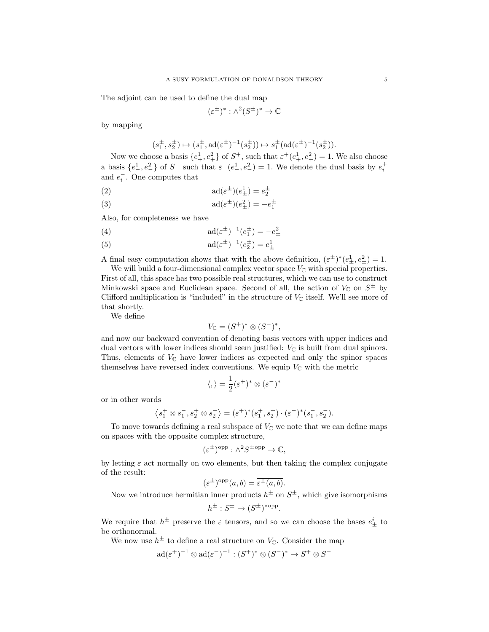The adjoint can be used to define the dual map

$$
(\varepsilon^{\pm})^*:\wedge^2(S^{\pm})^*\to\mathbb{C}
$$

by mapping

$$
(s_1^{\pm}, s_2^{\pm}) \mapsto (s_1^{\pm}, \text{ad}(\varepsilon^{\pm})^{-1}(s_2^{\pm})) \mapsto s_1^{\pm}(\text{ad}(\varepsilon^{\pm})^{-1}(s_2^{\pm})).
$$

Now we choose a basis  $\{e_+^1, e_+^2\}$  of  $S^+$ , such that  $\varepsilon^+(e_+^1, e_+^2) = 1$ . We also choose a basis  $\{e_+^1, e_+^2\}$  of  $S^-$  such that  $\varepsilon^-(e_+^1, e_+^2) = 1$ . We denote the dual basis by  $e_i^+$ and  $e_i^-$ . One computes that

<span id="page-4-2"></span>(2) 
$$
ad(\varepsilon^{\pm})(e_{\pm}^{1}) = e_{2}^{\pm}
$$

<span id="page-4-3"></span>(3) 
$$
ad(\varepsilon^{\pm})(e_{\pm}^{2}) = -e_{1}^{\pm}
$$

Also, for completeness we have

<span id="page-4-0"></span>(4) 
$$
ad(\varepsilon^{\pm})^{-1}(e_1^{\pm}) = -e_{\pm}^2
$$

<span id="page-4-1"></span>(5) 
$$
ad(\varepsilon^{\pm})^{-1}(e_2^{\pm}) = e_{\pm}^{1}
$$

A final easy computation shows that with the above definition,  $(\varepsilon^{\pm})^*(e_{\pm}^1, e_{\pm}^2) = 1$ .

We will build a four-dimensional complex vector space  $V_{\mathbb{C}}$  with special properties. First of all, this space has two possible real structures, which we can use to construct Minkowski space and Euclidean space. Second of all, the action of  $V_{\mathbb{C}}$  on  $S^{\pm}$  by Clifford multiplication is "included" in the structure of  $V_{\mathbb{C}}$  itself. We'll see more of that shortly.

We define

$$
V_{\mathbb{C}} = (S^+)^* \otimes (S^-)^*,
$$

and now our backward convention of denoting basis vectors with upper indices and dual vectors with lower indices should seem justified:  $V_{\mathbb{C}}$  is built from dual spinors. Thus, elements of  $V_{\mathbb{C}}$  have lower indices as expected and only the spinor spaces themselves have reversed index conventions. We equip  $V_{\mathbb{C}}$  with the metric

$$
\langle,\rangle=\frac{1}{2}(\varepsilon^+)^*\otimes(\varepsilon^-)^*
$$

or in other words

$$
\langle s_1^+ \otimes s_1^-, s_2^+ \otimes s_2^- \rangle = (\varepsilon^+)^* (s_1^+, s_2^+) \cdot (\varepsilon^-)^* (s_1^-, s_2^-).
$$

To move towards defining a real subspace of  $V_{\mathbb{C}}$  we note that we can define maps on spaces with the opposite complex structure,

$$
(\varepsilon^{\pm})^{\text{opp}} : \wedge^2 S^{\pm \text{opp}} \to \mathbb{C},
$$

by letting  $\varepsilon$  act normally on two elements, but then taking the complex conjugate of the result:

$$
(\varepsilon^{\pm})^{\text{opp}}(a,b) = \overline{\varepsilon^{\pm}(a,b)}.
$$

Now we introduce hermitian inner products  $h^{\pm}$  on  $S^{\pm}$ , which give isomorphisms

.

$$
h^{\pm}: S^{\pm} \to (S^{\pm})^{*opp}
$$

We require that  $h^{\pm}$  preserve the  $\varepsilon$  tensors, and so we can choose the bases  $e_{\pm}^{i}$  to be orthonormal.

We now use  $h^{\pm}$  to define a real structure on  $V_{\mathbb{C}}$ . Consider the map

$$
\mathrm{ad}(\varepsilon^+)^{-1} \otimes \mathrm{ad}(\varepsilon^-)^{-1} : (S^+)^* \otimes (S^-)^* \to S^+ \otimes S^-
$$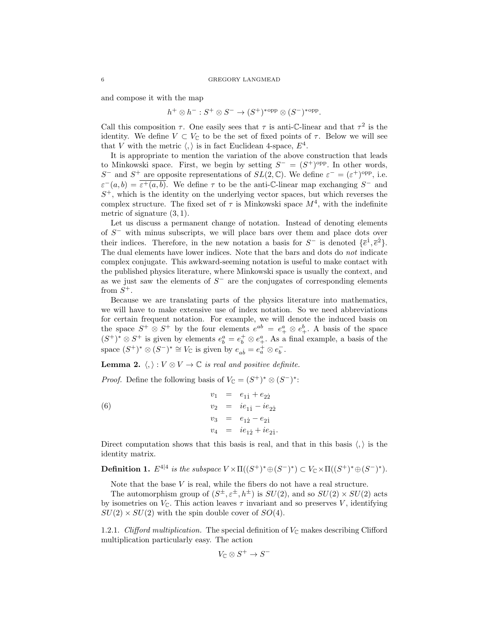and compose it with the map

$$
h^+ \otimes h^- : S^+ \otimes S^- \to (S^+)^*^{\text{opp}} \otimes (S^-)^*^{\text{opp}}.
$$

Call this composition  $\tau$ . One easily sees that  $\tau$  is anti-C-linear and that  $\tau^2$  is the identity. We define  $V \subset V_{\mathbb{C}}$  to be the set of fixed points of  $\tau$ . Below we will see that V with the metric  $\langle , \rangle$  is in fact Euclidean 4-space,  $E^4$ .

It is appropriate to mention the variation of the above construction that leads to Minkowski space. First, we begin by setting  $S^- = (S^+)^{\text{opp}}$ . In other words, S<sup>-</sup> and S<sup>+</sup> are opposite representations of  $SL(2,\mathbb{C})$ . We define  $\varepsilon^- = (\varepsilon^+)^{\text{opp}}$ , i.e.  $\varepsilon^-(a,b) = \overline{\varepsilon^+(a,b)}$ . We define  $\tau$  to be the anti-C-linear map exchanging  $S^-$  and  $S<sup>+</sup>$ , which is the identity on the underlying vector spaces, but which reverses the complex structure. The fixed set of  $\tau$  is Minkowski space  $M^4$ , with the indefinite metric of signature (3, 1).

Let us discuss a permanent change of notation. Instead of denoting elements of  $S^-$  with minus subscripts, we will place bars over them and place dots over their indices. Therefore, in the new notation a basis for  $S^-$  is denoted  $\{\bar{e}^{\dot{1}}, \bar{e}^{\dot{2}}\}$ . The dual elements have lower indices. Note that the bars and dots do not indicate complex conjugate. This awkward-seeming notation is useful to make contact with the published physics literature, where Minkowski space is usually the context, and as we just saw the elements of  $S^-$  are the conjugates of corresponding elements from  $S^+$ .

Because we are translating parts of the physics literature into mathematics, we will have to make extensive use of index notation. So we need abbreviations for certain frequent notation. For example, we will denote the induced basis on the space  $S^+ \otimes S^+$  by the four elements  $e^{ab} = e^a_+ \otimes e^b_+$ . A basis of the space  $(S^+)^* \otimes S^+$  is given by elements  $e_b^a = e_b^+ \otimes e_+^a$ . As a final example, a basis of the space  $(S^+)^* \otimes (S^-)^* \cong V_{\mathbb{C}}$  is given by  $e_{ab} = e_a^+ \otimes e_b^-$ .

**Lemma 2.**  $\langle, \rangle : V \otimes V \to \mathbb{C}$  is real and positive definite.

<span id="page-5-0"></span>*Proof.* Define the following basis of  $V_{\mathbb{C}} = (S^+)^* \otimes (S^-)^*$ :

(6) 
$$
v_1 = e_{11} + e_{22}
$$

$$
v_2 = ie_{11} - ie_{22}
$$

$$
v_3 = e_{12} - e_{21}
$$

$$
v_4 = ie_{12} + ie_{21}.
$$

Direct computation shows that this basis is real, and that in this basis  $\langle , \rangle$  is the identity matrix.

**Definition 1.**  $E^{4|4}$  is the subspace  $V \times \Pi((S^+)^* \oplus (S^-)^*) \subset V_{\mathbb{C}} \times \Pi((S^+)^* \oplus (S^-)^*).$ 

Note that the base  $V$  is real, while the fibers do not have a real structure.

The automorphism group of  $(S^{\pm}, \varepsilon^{\pm}, h^{\pm})$  is  $SU(2)$ , and so  $SU(2) \times SU(2)$  acts by isometries on  $V_{\mathbb{C}}$ . This action leaves  $\tau$  invariant and so preserves V, identifying  $SU(2) \times SU(2)$  with the spin double cover of  $SO(4)$ .

1.2.1. Clifford multiplication. The special definition of  $V_{\mathbb{C}}$  makes describing Clifford multiplication particularly easy. The action

$$
V_{\mathbb{C}}\otimes S^+\to S^-
$$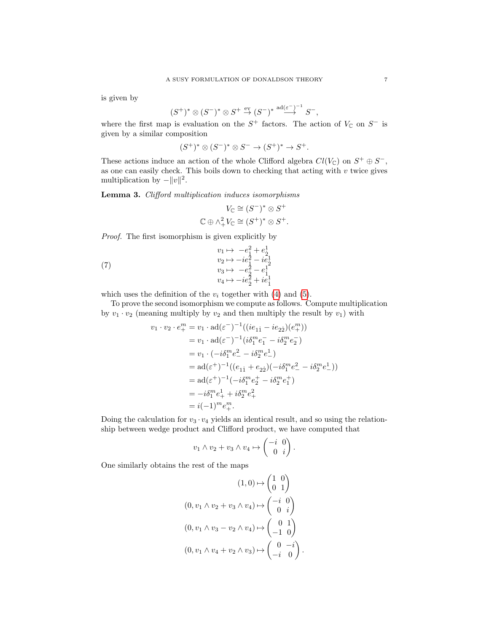is given by

$$
(S^+)^* \otimes (S^-)^* \otimes S^+ \stackrel{\text{ev}}{\rightarrow} (S^-)^* \stackrel{\text{ad}(\varepsilon^-)^{-1}}{\rightarrow} S^-,
$$

where the first map is evaluation on the  $S^+$  factors. The action of  $V_{\mathbb{C}}$  on  $S^-$  is given by a similar composition

$$
(S^+)^* \otimes (S^-)^* \otimes S^- \to (S^+)^* \to S^+.
$$

These actions induce an action of the whole Clifford algebra  $Cl(V_{\mathbb{C}})$  on  $S^+ \oplus S^-$ , as one can easily check. This boils down to checking that acting with  $v$  twice gives multiplication by  $-||v||^2$ .

<span id="page-6-0"></span>Lemma 3. Clifford multiplication induces isomorphisms

<span id="page-6-1"></span>
$$
V_{\mathbb{C}} \cong (S^-)^* \otimes S^+
$$
  

$$
\mathbb{C} \oplus \wedge^2_+ V_{\mathbb{C}} \cong (S^+)^* \otimes S^+.
$$

Proof. The first isomorphism is given explicitly by

(7) 
$$
v_1 \mapsto -e_1^2 + e_2^1 \n v_2 \mapsto -ie_1^2 - ie_2^1 \n v_3 \mapsto -e_2^2 - e_1^1 \n v_4 \mapsto -ie_2^2 + ie_1^1
$$

which uses the definition of the  $v_i$  together with [\(4\)](#page-4-0) and [\(5\)](#page-4-1).

To prove the second isomorphism we compute as follows. Compute multiplication by  $v_1 \cdot v_2$  (meaning multiply by  $v_2$  and then multiply the result by  $v_1$ ) with

$$
v_1 \cdot v_2 \cdot e_+^m = v_1 \cdot \mathrm{ad}(\varepsilon^-)^{-1}((ie_{11} - ie_{22})(e_+^m))
$$
  
\n
$$
= v_1 \cdot \mathrm{ad}(\varepsilon^-)^{-1}(i\delta_1^m e_1^- - i\delta_2^m e_2^-)
$$
  
\n
$$
= v_1 \cdot (-i\delta_1^m e_-^2 - i\delta_2^m e_-^1)
$$
  
\n
$$
= \mathrm{ad}(\varepsilon^+)^{-1}((e_{11} + e_{22})(-i\delta_1^m e_-^2 - i\delta_2^m e_-^1))
$$
  
\n
$$
= \mathrm{ad}(\varepsilon^+)^{-1}(-i\delta_1^m e_2^+ - i\delta_2^m e_1^+)
$$
  
\n
$$
= -i\delta_1^m e_+^1 + i\delta_2^m e_+^2
$$
  
\n
$$
= i(-1)^m e_+^m.
$$

Doing the calculation for  $v_3 \cdot v_4$  yields an identical result, and so using the relationship between wedge product and Clifford product, we have computed that

$$
v_1 \wedge v_2 + v_3 \wedge v_4 \mapsto \begin{pmatrix} -i & 0 \\ 0 & i \end{pmatrix}.
$$

One similarly obtains the rest of the maps

$$
(1,0) \mapsto \begin{pmatrix} 1 & 0 \\ 0 & 1 \end{pmatrix}
$$

$$
(0, v_1 \wedge v_2 + v_3 \wedge v_4) \mapsto \begin{pmatrix} -i & 0 \\ 0 & i \end{pmatrix}
$$

$$
(0, v_1 \wedge v_3 - v_2 \wedge v_4) \mapsto \begin{pmatrix} 0 & 1 \\ -1 & 0 \end{pmatrix}
$$

$$
(0, v_1 \wedge v_4 + v_2 \wedge v_3) \mapsto \begin{pmatrix} 0 & -i \\ -i & 0 \end{pmatrix}
$$

.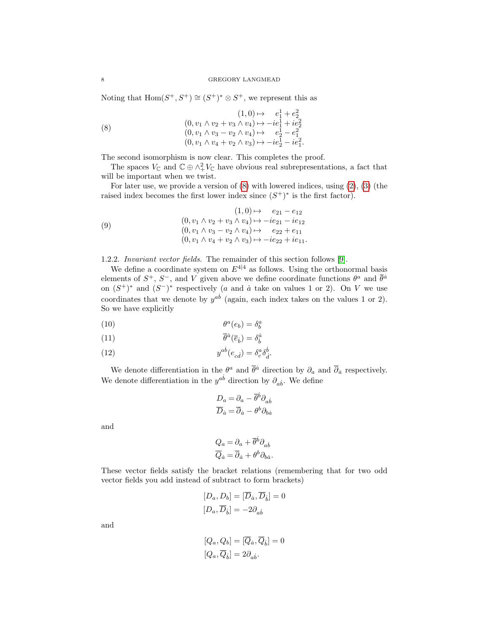Noting that  $Hom(S^+, S^+) \cong (S^+)^* \otimes S^+$ , we represent this as

<span id="page-7-0"></span>(8) 
$$
(1,0) \mapsto e_1^1 + e_2^2 \n(0, v_1 \wedge v_2 + v_3 \wedge v_4) \mapsto -ie_1^1 + ie_2^2 \n(0, v_1 \wedge v_3 - v_2 \wedge v_4) \mapsto e_2^1 - e_1^2 \n(0, v_1 \wedge v_4 + v_2 \wedge v_3) \mapsto -ie_2^1 - ie_1^2.
$$

The second isomorphism is now clear. This completes the proof.

The spaces  $V_{\mathbb{C}}$  and  $\mathbb{C} \oplus \wedge^2_V V_{\mathbb{C}}$  have obvious real subrepresentations, a fact that will be important when we twist.

For later use, we provide a version of [\(8\)](#page-7-0) with lowered indices, using [\(2\)](#page-4-2), [\(3\)](#page-4-3) (the raised index becomes the first lower index since  $(S^+)^*$  is the first factor).

<span id="page-7-1"></span>(9) 
$$
(1,0) \mapsto e_{21} - e_{12}
$$

$$
(0, v_1 \wedge v_2 + v_3 \wedge v_4) \mapsto -ie_{21} - ie_{12}
$$

$$
(0, v_1 \wedge v_3 - v_2 \wedge v_4) \mapsto e_{22} + e_{11}
$$

$$
(0, v_1 \wedge v_4 + v_2 \wedge v_3) \mapsto -ie_{22} + ie_{11}.
$$

1.2.2. Invariant vector fields. The remainder of this section follows [\[9\]](#page-38-8).

We define a coordinate system on  $E^{4|4}$  as follows. Using the orthonormal basis elements of  $S^+$ ,  $S^-$ , and V given above we define coordinate functions  $\theta^a$  and  $\bar{\theta}^{\dot{a}}$ on  $(S^+)^*$  and  $(S^-)^*$  respectively (a and  $\dot{a}$  take on values 1 or 2). On V we use coordinates that we denote by  $y^{ab}$  (again, each index takes on the values 1 or 2). So we have explicitly

$$
\theta^a(e_b) = \delta^a_b
$$

(11) 
$$
\overline{\theta}^{\dot{a}}(\overline{e}_{\dot{b}}) = \delta^{\dot{a}}_{\dot{b}}
$$

(12) 
$$
y^{ab}(e_{cd}) = \delta^a_c \delta^b_{\dot{d}}.
$$

We denote differentiation in the  $\theta^a$  and  $\bar{\theta}^{\dot{a}}$  direction by  $\partial_a$  and  $\bar{\partial}_{\dot{a}}$  respectively. We denote differentiation in the  $y^{ab}$  direction by  $\partial_{ab}$ . We define

$$
D_a = \partial_a - \overline{\theta}^{\dot{b}} \partial_{a\dot{b}}
$$

$$
\overline{D}_{\dot{a}} = \overline{\partial}_{\dot{a}} - \theta^b \partial_{b\dot{a}}
$$

and

$$
Q_a = \partial_a + \overline{\theta}^{\dot{b}} \partial_{a\dot{b}}
$$
  

$$
\overline{Q}_{\dot{a}} = \overline{\partial}_{\dot{a}} + \theta^b \partial_{b\dot{a}}.
$$

These vector fields satisfy the bracket relations (remembering that for two odd vector fields you add instead of subtract to form brackets)

$$
[D_a, D_b] = [\overline{D}_{\dot{a}}, \overline{D}_{\dot{b}}] = 0
$$
  

$$
[D_a, \overline{D}_{\dot{b}}] = -2\partial_{\dot{a}\dot{b}}
$$

and

$$
[Q_a, Q_b] = [\overline{Q}_{\dot{a}}, \overline{Q}_{\dot{b}}] = 0
$$
  

$$
[Q_a, \overline{Q}_{\dot{b}}] = 2\partial_{a\dot{b}}.
$$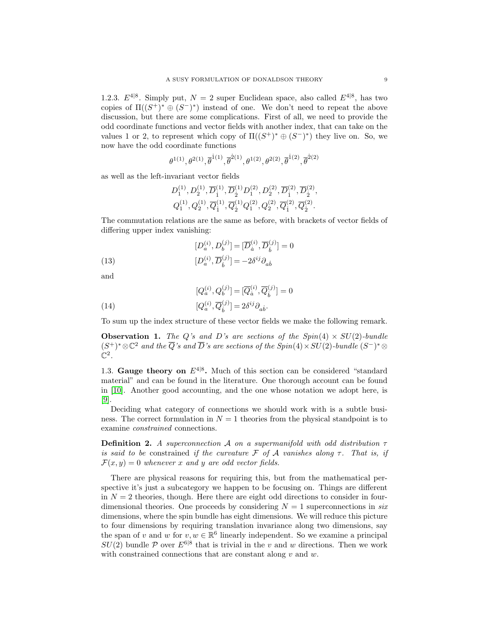1.2.3.  $E^{4|8}$ . Simply put,  $N = 2$  super Euclidean space, also called  $E^{4|8}$ , has two copies of  $\Pi((S^+)^*\oplus (S^-)^*)$  instead of one. We don't need to repeat the above discussion, but there are some complications. First of all, we need to provide the odd coordinate functions and vector fields with another index, that can take on the values 1 or 2, to represent which copy of  $\Pi((S^+)^*\oplus (S^-)^*)$  they live on. So, we now have the odd coordinate functions

$$
\theta^{1(1)}, \theta^{2(1)}, \overline{\theta}^{1(1)}, \overline{\theta}^{2(1)}, \theta^{1(2)}, \theta^{2(2)}, \overline{\theta}^{1(2)}, \overline{\theta}^{2(2)}
$$

as well as the left-invariant vector fields

<span id="page-8-0"></span>
$$
\begin{aligned} &D^{(1)}_1, D^{(1)}_2, \overline{D}^{(1)}_{\dot{1}}, \overline{D}^{(1)}_{\dot{2}} D^{(2)}_1, D^{(2)}_2, \overline{D}^{(2)}_{\dot{1}}, \overline{D}^{(2)}_{\dot{2}},\\ &Q^{(1)}_1, Q^{(1)}_2, \overline{Q}^{(1)}_{\dot{1}}, \overline{Q}^{(1)}_{\dot{2}} Q^{(2)}_1, Q^{(2)}_2, \overline{Q}^{(2)}_{\dot{1}}, \overline{Q}^{(2)}_{\dot{2}}. \end{aligned}
$$

The commutation relations are the same as before, with brackets of vector fields of differing upper index vanishing:

(13) 
$$
[D_a^{(i)}, D_b^{(j)}] = [\overline{D}_a^{(i)}, \overline{D}_b^{(j)}] = 0
$$

$$
[D_a^{(i)}, \overline{D}_b^{(j)}] = -2\delta^{ij}\partial_{ab}
$$

and

<span id="page-8-1"></span>(14) 
$$
[Q_a^{(i)}, Q_b^{(j)}] = [\overline{Q}_a^{(i)}, \overline{Q}_b^{(j)}] = 0
$$

$$
[Q_a^{(i)}, \overline{Q}_b^{(j)}] = 2\delta^{ij}\partial_{ab}.
$$

To sum up the index structure of these vector fields we make the following remark.

**Observation 1.** The Q's and D's are sections of the  $Spin(4) \times SU(2)$ -bundle  $(S^+)^* \otimes \mathbb{C}^2$  and the  $\overline{Q}$ 's and  $\overline{D}$ 's are sections of the Spin(4) × SU(2)-bundle  $(S^-)^* \otimes$  $\mathbb{C}^2$  .

1.3. Gauge theory on  $E^{4|8}$ . Much of this section can be considered "standard" material" and can be found in the literature. One thorough account can be found in [\[10\]](#page-38-9). Another good accounting, and the one whose notation we adopt here, is [\[9\]](#page-38-8).

Deciding what category of connections we should work with is a subtle business. The correct formulation in  $N = 1$  theories from the physical standpoint is to examine constrained connections.

**Definition 2.** A superconnection A on a supermanifold with odd distribution  $\tau$ is said to be constrained if the curvature F of A vanishes along  $\tau$ . That is, if  $\mathcal{F}(x, y) = 0$  whenever x and y are odd vector fields.

There are physical reasons for requiring this, but from the mathematical perspective it's just a subcategory we happen to be focusing on. Things are different in  $N = 2$  theories, though. Here there are eight odd directions to consider in fourdimensional theories. One proceeds by considering  $N = 1$  superconnections in six dimensions, where the spin bundle has eight dimensions. We will reduce this picture to four dimensions by requiring translation invariance along two dimensions, say the span of v and w for  $v, w \in \mathbb{R}^6$  linearly independent. So we examine a principal  $SU(2)$  bundle P over  $E^{6|8}$  that is trivial in the v and w directions. Then we work with constrained connections that are constant along  $v$  and  $w$ .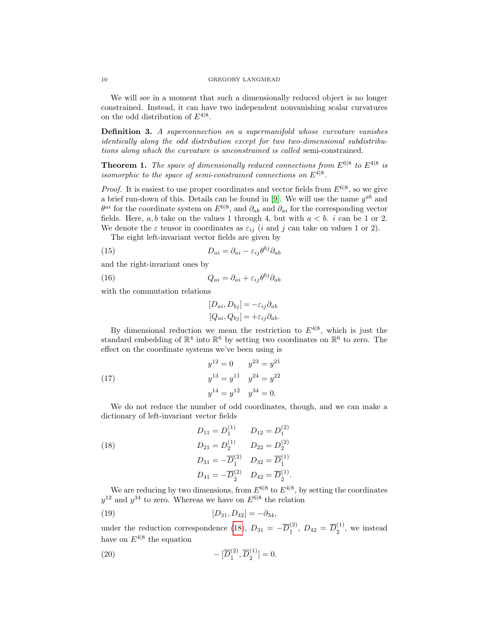We will see in a moment that such a dimensionally reduced object is no longer constrained. Instead, it can have two independent nonvanishing scalar curvatures on the odd distribution of  $E^{4|8}$ .

Definition 3. A superconnection on a supermanifold whose curvature vanishes identically along the odd distribution except for two two-dimensional subdistributions along which the curvature is unconstrained is called semi-constrained.

<span id="page-9-2"></span>**Theorem 1.** The space of dimensionally reduced connections from  $E^{6|8}$  to  $E^{4|8}$  is isomorphic to the space of semi-constrained connections on  $E^{4|8}$ .

*Proof.* It is easiest to use proper coordinates and vector fields from  $E^{6|8}$ , so we give a brief run-down of this. Details can be found in [\[9\]](#page-38-8). We will use the name  $y^{ab}$  and  $\theta^{ai}$  for the coordinate system on  $E^{6|8}$ , and  $\partial_{ab}$  and  $\partial_{ai}$  for the corresponding vector fields. Here, a, b take on the values 1 through 4, but with  $a < b$ . i can be 1 or 2. We denote the  $\varepsilon$  tensor in coordinates as  $\varepsilon_{ij}$  (*i* and *j* can take on values 1 or 2).

The eight left-invariant vector fields are given by

(15) 
$$
D_{ai} = \partial_{ai} - \varepsilon_{ij} \theta^{bj} \partial_{ab}
$$

and the right-invariant ones by

(16) 
$$
Q_{ai} = \partial_{ai} + \varepsilon_{ij} \theta^{bj} \partial_{ab}
$$

with the commutation relations

$$
[D_{ai}, D_{bj}] = -\varepsilon_{ij}\partial_{ab} [Q_{ai}, Q_{bj}] = +\varepsilon_{ij}\partial_{ab}.
$$

By dimensional reduction we mean the restriction to  $E^{4|8}$ , which is just the standard embedding of  $\mathbb{R}^4$  into  $\mathbb{R}^6$  by setting two coordinates on  $\mathbb{R}^6$  to zero. The effect on the coordinate systems we've been using is

(17) 
$$
y^{12} = 0 \t y^{23} = y^{21}
$$

$$
y^{13} = y^{11} \t y^{24} = y^{22}
$$

$$
y^{14} = y^{12} \t y^{34} = 0.
$$

We do not reduce the number of odd coordinates, though, and we can make a dictionary of left-invariant vector fields

<span id="page-9-0"></span>(18) 
$$
D_{11} = D_1^{(1)} \t D_{12} = D_1^{(2)}
$$

$$
D_{21} = D_2^{(1)} \t D_{22} = D_2^{(2)}
$$

$$
D_{31} = -\overline{D}_1^{(2)} \t D_{32} = \overline{D}_1^{(1)}
$$

$$
D_{41} = -\overline{D}_2^{(2)} \t D_{42} = \overline{D}_2^{(1)}.
$$

We are reducing by two dimensions, from  $E^{6|8}$  to  $E^{4|8}$ , by setting the coordinates  $y^{12}$  and  $y^{34}$  to zero. Whereas we have on  $E^{6|8}$  the relation

<span id="page-9-1"></span>(19) 
$$
[D_{31}, D_{42}] = -\partial_{34},
$$

under the reduction correspondence [\(18\)](#page-9-0),  $D_{31} = -\overline{D}_{i}^{(2)}$  $\overline{D}_1^{(2)}$ ,  $D_{42} = \overline{D}_2^{(1)}$  $\frac{1}{2}$ <sup>(1)</sup>, we instead have on  $E^{4|8}$  the equation

(20) 
$$
-[\overline{D}_{i}^{(2)}, \overline{D}_{\dot{2}}^{(1)}] = 0.
$$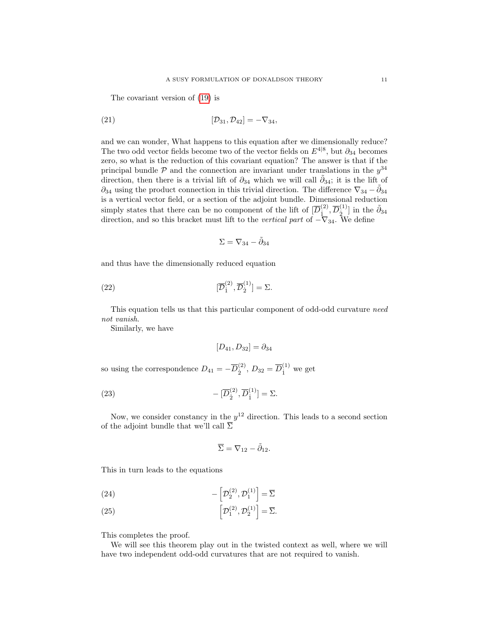The covariant version of [\(19\)](#page-9-1) is

(21) 
$$
[\mathcal{D}_{31}, \mathcal{D}_{42}] = -\nabla_{34},
$$

and we can wonder, What happens to this equation after we dimensionally reduce? The two odd vector fields become two of the vector fields on  $E^{4|8}$ , but  $\partial_{34}$  becomes zero, so what is the reduction of this covariant equation? The answer is that if the principal bundle  $P$  and the connection are invariant under translations in the  $y^{34}$ direction, then there is a trivial lift of  $\partial_{34}$  which we will call  $\tilde{\partial}_{34}$ ; it is the lift of  $\partial_{34}$  using the product connection in this trivial direction. The difference  $\nabla_{34} - \tilde{\partial}_{34}$ is a vertical vector field, or a section of the adjoint bundle. Dimensional reduction simply states that there can be no component of the lift of  $[\overline{D}_i^{(2)}]$  $(\begin{smallmatrix} 2 \ 1 \end{smallmatrix}, \overline{D}^{(1)}_{\dot{2}}$  $\binom{1}{2}$  in the  $\tilde{\partial}_{34}$ direction, and so this bracket must lift to the *vertical part* of  $-\nabla_{34}$ . We define

<span id="page-10-1"></span>
$$
\Sigma=\nabla_{34}-\tilde{\partial}_{34}
$$

and thus have the dimensionally reduced equation

(22) 
$$
[\overline{\mathcal{D}}_1^{(2)}, \overline{\mathcal{D}}_2^{(1)}] = \Sigma.
$$

This equation tells us that this particular component of odd-odd curvature need not vanish.

Similarly, we have

<span id="page-10-2"></span>
$$
[D_{41}, D_{32}] = \partial_{34}
$$

so using the correspondence  $D_{41} = -\overline{D}_{5}^{(2)}$  $_{2}^{(2)}$ ,  $D_{32} = \overline{D}_{1}^{(1)}$  we get

(23) 
$$
-[\overline{D}_{\dot{2}}^{(2)}, \overline{D}_{\dot{1}}^{(1)}] = \Sigma.
$$

Now, we consider constancy in the  $y^{12}$  direction. This leads to a second section of the adjoint bundle that we'll call  $\overline{\Sigma}$ 

<span id="page-10-0"></span>
$$
\overline{\Sigma} = \nabla_{12} - \tilde{\partial}_{12}.
$$

This in turn leads to the equations

(24) 
$$
-\left[\mathcal{D}_2^{(2)}, \mathcal{D}_1^{(1)}\right] = \overline{\Sigma}
$$

(25) 
$$
\left[\mathcal{D}_1^{(2)}, \mathcal{D}_2^{(1)}\right] = \overline{\Sigma}.
$$

This completes the proof.

We will see this theorem play out in the twisted context as well, where we will have two independent odd-odd curvatures that are not required to vanish.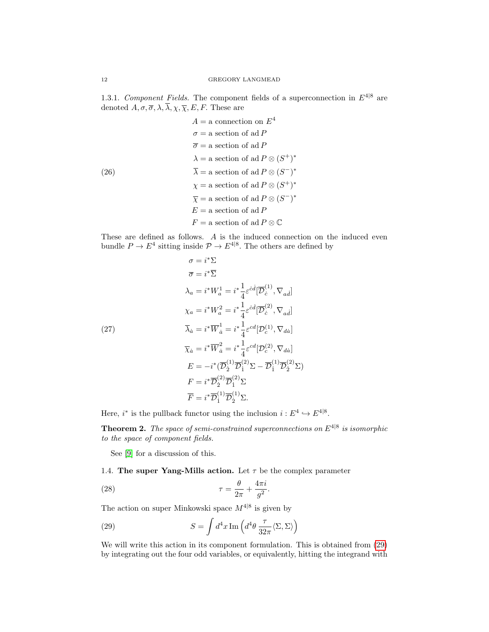1.3.1. Component Fields. The component fields of a superconnection in  $E^{4|8}$  are denoted  $\overline{A}$ ,  $\overline{\sigma}$ ,  $\overline{\lambda}$ ,  $\overline{\lambda}$ ,  $\overline{\chi}$ ,  $\overline{\chi}$ ,  $\overline{E}$ ,  $\overline{F}$ . These are

<span id="page-11-1"></span>
$$
A = \text{a connection on } E^4
$$
  
\n
$$
\sigma = \text{a section of ad } P
$$
  
\n
$$
\overline{\sigma} = \text{a section of ad } P
$$
  
\n
$$
\lambda = \text{a section of ad } P \otimes (S^+)^*
$$
  
\n(26)  
\n
$$
\overline{\lambda} = \text{a section of ad } P \otimes (S^-)^*
$$
  
\n
$$
\chi = \text{a section of ad } P \otimes (S^+)^*
$$
  
\n
$$
\overline{\chi} = \text{a section of ad } P \otimes (S^-)^*
$$
  
\n
$$
E = \text{a section of ad } P
$$
  
\n
$$
F = \text{a section of ad } P \otimes \mathbb{C}
$$

These are defined as follows. A is the induced connection on the induced even bundle  $P \to E^4$  sitting inside  $P \to E^{4|8}$ . The others are defined by

<span id="page-11-2"></span>(27)  
\n
$$
\sigma = i^*\Sigma
$$
\n
$$
\overline{\sigma} = i^*\overline{\Sigma}
$$
\n
$$
\lambda_a = i^*W_a^1 = i^*\frac{1}{4}\varepsilon^{cd}[\overline{\mathcal{D}}_c^{(1)}, \nabla_{ad}]
$$
\n
$$
\chi_a = i^*W_a^2 = i^*\frac{1}{4}\varepsilon^{cd}[\overline{\mathcal{D}}_c^{(2)}, \nabla_{ad}]
$$
\n
$$
\overline{\lambda}_{\dot{a}} = i^*\overline{W}_{\dot{a}}^1 = i^*\frac{1}{4}\varepsilon^{cd}[\mathcal{D}_c^{(1)}, \nabla_{da}]
$$
\n
$$
\overline{\chi}_{\dot{a}} = i^*\overline{W}_{\dot{a}}^2 = i^*\frac{1}{4}\varepsilon^{cd}[\mathcal{D}_c^{(2)}, \nabla_{da}]
$$
\n
$$
E = -i^*(\overline{\mathcal{D}}_2^{(1)}\overline{\mathcal{D}}_1^{(2)}\Sigma - \overline{\mathcal{D}}_1^{(1)}\overline{\mathcal{D}}_2^{(2)}\Sigma)
$$
\n
$$
F = i^*\overline{\mathcal{D}}_2^{(2)}\overline{\mathcal{D}}_1^{(2)}\Sigma
$$
\n
$$
\overline{F} = i^*\overline{\mathcal{D}}_1^{(1)}\overline{\mathcal{D}}_2^{(1)}\Sigma.
$$

∗Σ

Here,  $i^*$  is the pullback functor using the inclusion  $i: E^4 \hookrightarrow E^{4|8}$ .

**Theorem 2.** The space of semi-constrained superconnections on  $E^{4|8}$  is isomorphic to the space of component fields.

See [\[9\]](#page-38-8) for a discussion of this.

1.4. The super Yang-Mills action. Let  $\tau$  be the complex parameter

(28) 
$$
\tau = \frac{\theta}{2\pi} + \frac{4\pi i}{g^2}.
$$

The action on super Minkowski space  $M^{4|8}$  is given by

<span id="page-11-0"></span>(29) 
$$
S = \int d^4x \operatorname{Im} \left( d^4\theta \frac{\tau}{32\pi} \langle \Sigma, \Sigma \rangle \right)
$$

We will write this action in its component formulation. This is obtained from [\(29\)](#page-11-0) by integrating out the four odd variables, or equivalently, hitting the integrand with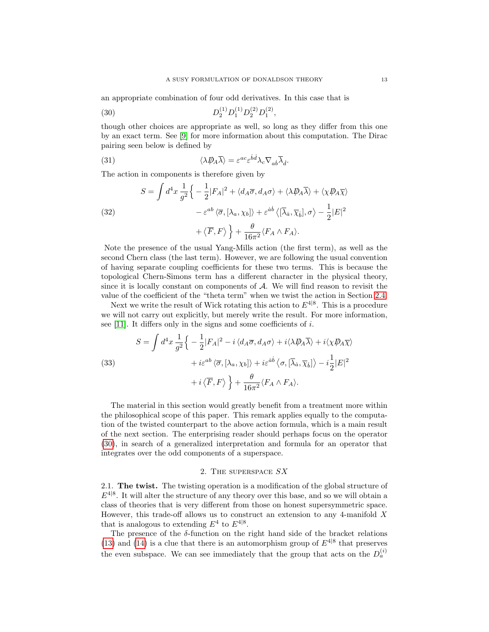an appropriate combination of four odd derivatives. In this case that is

<span id="page-12-0"></span>(30) 
$$
D_2^{(1)} D_1^{(1)} D_2^{(2)} D_1^{(2)},
$$

though other choices are appropriate as well, so long as they differ from this one by an exact term. See [\[9\]](#page-38-8) for more information about this computation. The Dirac pairing seen below is defined by

<span id="page-12-2"></span>(31) 
$$
\langle \lambda \rlap{\,/}D_A \bar{\lambda} \rangle = \varepsilon^{ac} \varepsilon^{\dot{b}\dot{d}} \lambda_c \nabla_{a\dot{b}} \bar{\lambda}_{\dot{d}}.
$$

The action in components is therefore given by

(32)  
\n
$$
S = \int d^4x \frac{1}{g^2} \left\{ -\frac{1}{2} |F_A|^2 + \langle d_A \overline{\sigma}, d_A \sigma \rangle + \langle \lambda \overline{\psi}_A \overline{\lambda} \rangle + \langle \chi \overline{\psi}_A \overline{\chi} \rangle \right.
$$
\n
$$
- \varepsilon^{ab} \langle \overline{\sigma}, [\lambda_a, \chi_b] \rangle + \varepsilon^{\dot{a}\dot{b}} \langle [\overline{\lambda}_{\dot{a}}, \overline{\chi}_{\dot{b}}], \sigma \rangle - \frac{1}{2} |E|^2
$$
\n
$$
+ \langle \overline{F}, F \rangle \right\} + \frac{\theta}{16\pi^2} \langle F_A \wedge F_A \rangle.
$$

Note the presence of the usual Yang-Mills action (the first term), as well as the second Chern class (the last term). However, we are following the usual convention of having separate coupling coefficients for these two terms. This is because the topological Chern-Simons term has a different character in the physical theory, since it is locally constant on components of  $A$ . We will find reason to revisit the value of the coefficient of the "theta term" when we twist the action in Section [2.4.](#page-22-0)

Next we write the result of Wick rotating this action to  $E^{4|8}$ . This is a procedure we will not carry out explicitly, but merely write the result. For more information, see [\[11\]](#page-38-10). It differs only in the signs and some coefficients of  $i$ .

<span id="page-12-1"></span>(33)  
\n
$$
S = \int d^4x \frac{1}{g^2} \left\{ -\frac{1}{2} |F_A|^2 - i \langle d_A \overline{\sigma}, d_A \sigma \rangle + i \langle \lambda \overline{\psi}_A \overline{\lambda} \rangle + i \langle \chi \overline{\psi}_A \overline{\chi} \rangle \right.
$$
\n
$$
+ i \varepsilon^{ab} \langle \overline{\sigma}, [\lambda_a, \chi_b] \rangle + i \varepsilon^{\dot{a}\dot{b}} \langle \sigma, [\overline{\lambda}_{\dot{a}}, \overline{\chi}_{\dot{b}}] \rangle - i \frac{1}{2} |E|^2
$$
\n
$$
+ i \langle \overline{F}, F \rangle \right\} + \frac{\theta}{16\pi^2} \langle F_A \wedge F_A \rangle.
$$

The material in this section would greatly benefit from a treatment more within the philosophical scope of this paper. This remark applies equally to the computation of the twisted counterpart to the above action formula, which is a main result of the next section. The enterprising reader should perhaps focus on the operator [\(30\)](#page-12-0), in search of a generalized interpretation and formula for an operator that integrates over the odd components of a superspace.

### 2. The superspace SX

2.1. The twist. The twisting operation is a modification of the global structure of  $E^{4|8}$ . It will alter the structure of any theory over this base, and so we will obtain a class of theories that is very different from those on honest supersymmetric space. However, this trade-off allows us to construct an extension to any 4-manifold  $X$ that is analogous to extending  $E^4$  to  $E^{4|8}$ .

The presence of the  $\delta$ -function on the right hand side of the bracket relations [\(13\)](#page-8-0) and [\(14\)](#page-8-1) is a clue that there is an automorphism group of  $E^{4|8}$  that preserves the even subspace. We can see immediately that the group that acts on the  $D_a^{(i)}$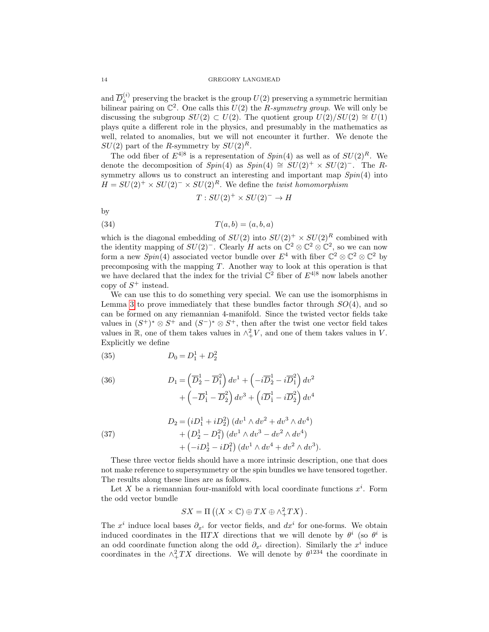and  $\overline{D}_a^{(i)}$  $a_i^{(i)}$  preserving the bracket is the group  $U(2)$  preserving a symmetric hermitian bilinear pairing on  $\mathbb{C}^2$ . One calls this  $U(2)$  the R-symmetry group. We will only be discussing the subgroup  $SU(2) \subset U(2)$ . The quotient group  $U(2)/SU(2) \cong U(1)$ plays quite a different role in the physics, and presumably in the mathematics as well, related to anomalies, but we will not encounter it further. We denote the  $SU(2)$  part of the R-symmetry by  $SU(2)^R$ .

The odd fiber of  $E^{4|8}$  is a representation of  $Spin(4)$  as well as of  $SU(2)^R$ . We denote the decomposition of  $Spin(4)$  as  $Spin(4) \cong SU(2)^+ \times SU(2)^-$ . The Rsymmetry allows us to construct an interesting and important map  $Spin(4)$  into  $H = SU(2)^+ \times SU(2)^- \times SU(2)^R$ . We define the twist homomorphism

$$
T: SU(2)^{+} \times SU(2)^{-} \rightarrow H
$$

by

$$
(34) \t\t T(a,b) = (a,b,a)
$$

which is the diagonal embedding of  $SU(2)$  into  $SU(2)^+ \times SU(2)^R$  combined with the identity mapping of  $SU(2)^-$ . Clearly H acts on  $\mathbb{C}^2 \otimes \mathbb{C}^2 \otimes \mathbb{C}^2$ , so we can now form a new  $Spin(4)$  associated vector bundle over  $E^4$  with fiber  $\mathbb{C}^2 \otimes \mathbb{C}^2 \otimes \mathbb{C}^2$  by precomposing with the mapping T. Another way to look at this operation is that we have declared that the index for the trivial  $\mathbb{C}^2$  fiber of  $E^{4|8}$  now labels another copy of  $S^+$  instead.

We can use this to do something very special. We can use the isomorphisms in Lemma [3](#page-6-0) to prove immediately that these bundles factor through  $SO(4)$ , and so can be formed on any riemannian 4-manifold. Since the twisted vector fields take values in  $(S^+)^* \otimes S^+$  and  $(S^-)^* \otimes S^+$ , then after the twist one vector field takes values in  $\mathbb{R}$ , one of them takes values in  $\wedge^2_+V$ , and one of them takes values in V. Explicitly we define

(35) 
$$
D_0 = D_1^1 + D_2^2
$$

(36) 
$$
D_1 = \left(\overline{D}_2^1 - \overline{D}_1^2\right) dv^1 + \left(-i\overline{D}_2^1 - i\overline{D}_1^2\right) dv^2 + \left(-\overline{D}_1^1 - \overline{D}_2^2\right) dv^3 + \left(i\overline{D}_1^1 - i\overline{D}_2^2\right) dv^4
$$

(37) 
$$
D_2 = (iD_1^1 + iD_2^2) (dv^1 \wedge dv^2 + dv^3 \wedge dv^4) + (D_2^1 - D_1^2) (dv^1 \wedge dv^3 - dv^2 \wedge dv^4) + (-iD_2^1 - iD_1^2) (dv^1 \wedge dv^4 + dv^2 \wedge dv^3).
$$

These three vector fields should have a more intrinsic description, one that does not make reference to supersymmetry or the spin bundles we have tensored together. The results along these lines are as follows.

Let X be a riemannian four-manifold with local coordinate functions  $x^i$ . Form the odd vector bundle

$$
SX = \Pi ((X \times \mathbb{C}) \oplus TX \oplus \wedge^2_{+} TX).
$$

The  $x^i$  induce local bases  $\partial_{x^i}$  for vector fields, and  $dx^i$  for one-forms. We obtain induced coordinates in the  $\Pi T X$  directions that we will denote by  $\theta^i$  (so  $\theta^i$  is an odd coordinate function along the odd  $\partial_{x^i}$  direction). Similarly the  $x^i$  induce coordinates in the  $\wedge^2_+ TX$  directions. We will denote by  $\theta^{1234}$  the coordinate in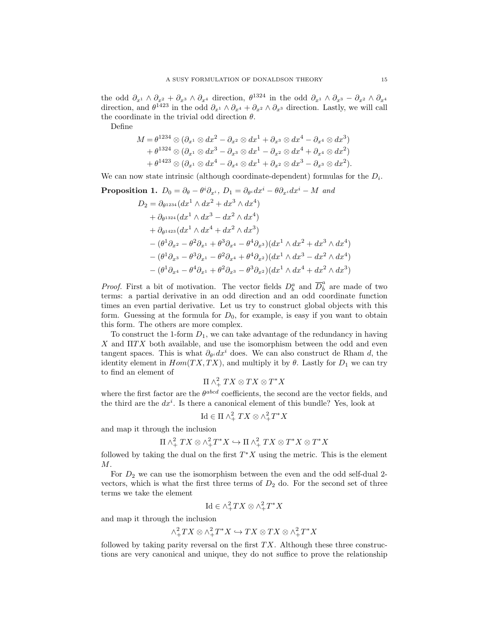the odd  $\partial_{x^1} \wedge \partial_{x^2} + \partial_{x^3} \wedge \partial_{x^4}$  direction,  $\theta^{1324}$  in the odd  $\partial_{x^1} \wedge \partial_{x^3} - \partial_{x^2} \wedge \partial_{x^4}$ direction, and  $\theta^{1423}$  in the odd  $\partial_{x^1} \wedge \partial_{x^4} + \partial_{x^2} \wedge \partial_{x^3}$  direction. Lastly, we will call the coordinate in the trivial odd direction  $\theta$ .

Define

$$
M = \theta^{1234} \otimes (\partial_{x^1} \otimes dx^2 - \partial_{x^2} \otimes dx^1 + \partial_{x^3} \otimes dx^4 - \partial_{x^4} \otimes dx^3)
$$
  
+ 
$$
\theta^{1324} \otimes (\partial_{x^1} \otimes dx^3 - \partial_{x^3} \otimes dx^1 - \partial_{x^2} \otimes dx^4 + \partial_{x^4} \otimes dx^2)
$$
  
+ 
$$
\theta^{1423} \otimes (\partial_{x^1} \otimes dx^4 - \partial_{x^4} \otimes dx^1 + \partial_{x^2} \otimes dx^3 - \partial_{x^3} \otimes dx^2).
$$

We can now state intrinsic (although coordinate-dependent) formulas for the  $D_i$ .

**Proposition 1.** 
$$
D_0 = \partial_{\theta} - \theta^i \partial_{x^i}, D_1 = \partial_{\theta^i} dx^i - \theta \partial_{x^i} dx^i - M \text{ and}
$$

$$
D_2 = \partial_{\theta^{1234}} (dx^1 \wedge dx^2 + dx^3 \wedge dx^4)
$$

$$
+ \partial_{\theta^{1324}} (dx^1 \wedge dx^3 - dx^2 \wedge dx^4)
$$

$$
+ \partial_{\theta^{1423}} (dx^1 \wedge dx^4 + dx^2 \wedge dx^3)
$$

$$
- (\theta^1 \partial_{x^2} - \theta^2 \partial_{x^1} + \theta^3 \partial_{x^4} - \theta^4 \partial_{x^3}) (dx^1 \wedge dx^2 + dx^3 \wedge dx^4)
$$

$$
- (\theta^1 \partial_{x^3} - \theta^3 \partial_{x^1} - \theta^2 \partial_{x^4} + \theta^4 \partial_{x^2}) (dx^1 \wedge dx^3 - dx^2 \wedge dx^4)
$$

$$
- (\theta^1 \partial_{x^4} - \theta^4 \partial_{x^1} + \theta^2 \partial_{x^3} - \theta^3 \partial_{x^2}) (dx^1 \wedge dx^4 + dx^2 \wedge dx^3)
$$

*Proof.* First a bit of motivation. The vector fields  $D_b^a$  and  $\overline{D}_b^a$  are made of two terms: a partial derivative in an odd direction and an odd coordinate function times an even partial derivative. Let us try to construct global objects with this form. Guessing at the formula for  $D_0$ , for example, is easy if you want to obtain this form. The others are more complex.

To construct the 1-form  $D_1$ , we can take advantage of the redundancy in having  $X$  and  $\Pi TX$  both available, and use the isomorphism between the odd and even tangent spaces. This is what  $\partial_{\theta} u dx^i$  does. We can also construct de Rham d, the identity element in  $Hom(TX, TX)$ , and multiply it by  $\theta$ . Lastly for  $D_1$  we can try to find an element of

$$
\Pi \wedge^2_+ TX \otimes TX \otimes T^*X
$$

where the first factor are the  $\theta^{abcd}$  coefficients, the second are the vector fields, and the third are the  $dx^{i}$ . Is there a canonical element of this bundle? Yes, look at

$$
\operatorname{Id} \in \Pi \wedge^2_+ TX \otimes \wedge^2_+ T^*X
$$

and map it through the inclusion

$$
\Pi \wedge^2_+ TX \otimes \wedge^2_+ T^*X \hookrightarrow \Pi \wedge^2_+ TX \otimes T^*X \otimes T^*X
$$

followed by taking the dual on the first  $T^*X$  using the metric. This is the element M.

For  $D_2$  we can use the isomorphism between the even and the odd self-dual 2vectors, which is what the first three terms of  $D_2$  do. For the second set of three terms we take the element

$$
\mathrm{Id} \in \wedge^2_+ TX \otimes \wedge^2_+ T^*X
$$

and map it through the inclusion

$$
\wedge^2_+TX \otimes \wedge^2_+T^*X \hookrightarrow TX \otimes TX \otimes \wedge^2_+T^*X
$$

followed by taking parity reversal on the first  $TX$ . Although these three constructions are very canonical and unique, they do not suffice to prove the relationship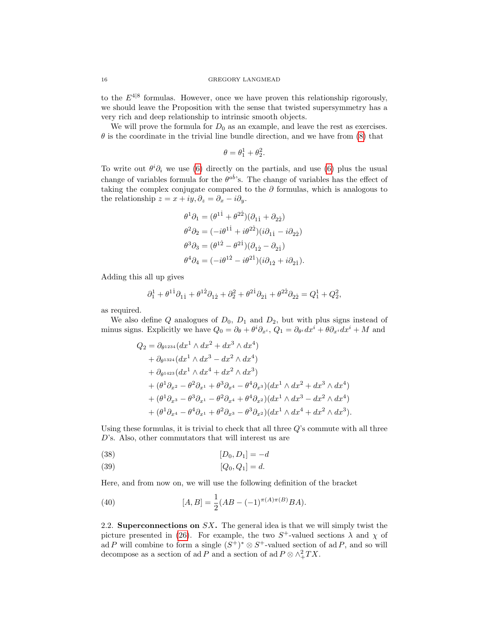to the  $E^{4|8}$  formulas. However, once we have proven this relationship rigorously, we should leave the Proposition with the sense that twisted supersymmetry has a very rich and deep relationship to intrinsic smooth objects.

We will prove the formula for  $D_0$  as an example, and leave the rest as exercises.  $\theta$  is the coordinate in the trivial line bundle direction, and we have from [\(8\)](#page-7-0) that

$$
\theta = \theta_1^1 + \theta_2^2.
$$

To write out  $\theta^i \partial_i$  we use [\(6\)](#page-5-0) directly on the partials, and use (6) plus the usual change of variables formula for the  $\theta^{ab}$ 's. The change of variables has the effect of taking the complex conjugate compared to the  $\partial$  formulas, which is analogous to the relationship  $z = x + iy$ ,  $\partial_z = \partial_x - i\partial_y$ .

$$
\theta^1 \partial_1 = (\theta^{1\dot{1}} + \theta^{2\dot{2}})(\partial_{1\dot{1}} + \partial_{2\dot{2}})
$$
  
\n
$$
\theta^2 \partial_2 = (-i\theta^{1\dot{1}} + i\theta^{2\dot{2}})(i\partial_{1\dot{1}} - i\partial_{2\dot{2}})
$$
  
\n
$$
\theta^3 \partial_3 = (\theta^{1\dot{2}} - \theta^{2\dot{1}})(\partial_{1\dot{2}} - \partial_{2\dot{1}})
$$
  
\n
$$
\theta^4 \partial_4 = (-i\theta^{1\dot{2}} - i\theta^{2\dot{1}})(i\partial_{1\dot{2}} + i\partial_{2\dot{1}}).
$$

Adding this all up gives

$$
\partial_1^1 + \theta^{1\dot{1}} \partial_{1\dot{1}} + \theta^{1\dot{2}} \partial_{1\dot{2}} + \partial_2^2 + \theta^{2\dot{1}} \partial_{2\dot{1}} + \theta^{2\dot{2}} \partial_{2\dot{2}} = Q_1^1 + Q_2^2,
$$

as required.

We also define  $Q$  analogues of  $D_0$ ,  $D_1$  and  $D_2$ , but with plus signs instead of minus signs. Explicitly we have  $Q_0 = \partial_{\theta} + \theta^i \partial_{x^i}$ ,  $Q_1 = \partial_{\theta^i} dx^i + \theta \partial_{x^i} dx^i + M$  and

$$
Q_2 = \partial_{\theta^{1234}}(dx^1 \wedge dx^2 + dx^3 \wedge dx^4)
$$
  
+  $\partial_{\theta^{1324}}(dx^1 \wedge dx^3 - dx^2 \wedge dx^4)$   
+  $\partial_{\theta^{1423}}(dx^1 \wedge dx^4 + dx^2 \wedge dx^3)$   
+  $({\theta}^1 \partial_{x^2} - {\theta}^2 \partial_{x^1} + {\theta}^3 \partial_{x^4} - {\theta}^4 \partial_{x^3})(dx^1 \wedge dx^2 + dx^3 \wedge dx^4)$   
+  $({\theta}^1 \partial_{x^3} - {\theta}^3 \partial_{x^1} - {\theta}^2 \partial_{x^4} + {\theta}^4 \partial_{x^2})(dx^1 \wedge dx^3 - dx^2 \wedge dx^4)$   
+  $({\theta}^1 \partial_{x^4} - {\theta}^4 \partial_{x^1} + {\theta}^2 \partial_{x^3} - {\theta}^3 \partial_{x^2})(dx^1 \wedge dx^4 + dx^2 \wedge dx^3).$ 

Using these formulas, it is trivial to check that all three  $Q$ 's commute with all three D's. Also, other commutators that will interest us are

(38) 
$$
[D_0, D_1] = -d
$$

(39) 
$$
[Q_0, Q_1] = d.
$$

Here, and from now on, we will use the following definition of the bracket

(40) 
$$
[A, B] = \frac{1}{2}(AB - (-1)^{\pi(A)\pi(B)}BA).
$$

2.2. Superconnections on  $SX$ . The general idea is that we will simply twist the picture presented in [\(26\)](#page-11-1). For example, the two  $S^+$ -valued sections  $\lambda$  and  $\chi$  of ad P will combine to form a single  $(S^+)^* \otimes S^+$ -valued section of ad P, and so will decompose as a section of ad P and a section of ad  $P \otimes \wedge^2_+ TX$ .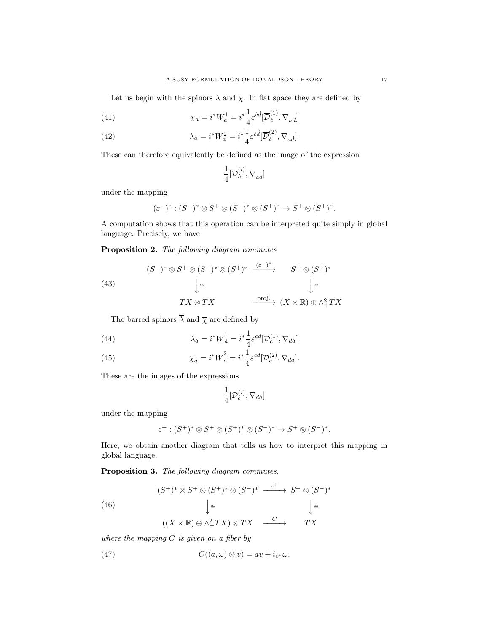Let us begin with the spinors  $\lambda$  and  $\chi$ . In flat space they are defined by

(41) 
$$
\chi_a = i^* W_a^1 = i^* \frac{1}{4} \varepsilon^{\dot{c}\dot{d}} [\overline{\mathcal{D}}_c^{(1)}, \nabla_{a\dot{d}}]
$$

(42) 
$$
\lambda_a = i^* W_a^2 = i^* \frac{1}{4} \varepsilon^{cd} [\overline{\mathcal{D}}_c^{(2)}, \nabla_{ad}].
$$

These can therefore equivalently be defined as the image of the expression

$$
\frac{1}{4}[\overline{\mathcal{D}}_c^{(i)}, \nabla_{ad}]
$$

under the mapping

$$
(\varepsilon^-)^* : (S^-)^* \otimes S^+ \otimes (S^-)^* \otimes (S^+)^* \to S^+ \otimes (S^+)^*.
$$

A computation shows that this operation can be interpreted quite simply in global language. Precisely, we have

<span id="page-16-0"></span>Proposition 2. The following diagram commutes

<span id="page-16-1"></span>(43)  
\n
$$
(S^{-})^* \otimes S^+ \otimes (S^{-})^* \otimes (S^+)^* \xrightarrow{(\varepsilon^-)^*} S^+ \otimes (S^+)^*
$$
\n
$$
\downarrow \cong
$$
\n
$$
TX \otimes TX \xrightarrow{\text{proj.}} (X \times \mathbb{R}) \oplus \wedge^2_{+} TX
$$

The barred spinors  $\overline{\lambda}$  and  $\overline{\chi}$  are defined by

<span id="page-16-4"></span>(44) 
$$
\overline{\lambda}_{\dot{a}} = i^* \overline{W}_{\dot{a}}^1 = i^* \frac{1}{4} \varepsilon^{cd} [\mathcal{D}_c^{(1)}, \nabla_{d\dot{a}}]
$$

<span id="page-16-5"></span>(45) 
$$
\overline{\chi}_{\dot{a}} = i^* \overline{W}_{\dot{a}}^2 = i^* \frac{1}{4} \varepsilon^{cd} [\mathcal{D}_c^{(2)}, \nabla_{d\dot{a}}].
$$

These are the images of the expressions

$$
\frac{1}{4}[\mathcal{D}_c^{(i)},\nabla_{d\dot{a}}]
$$

under the mapping

$$
\varepsilon^+:(S^+)^*\otimes S^+\otimes (S^+)^*\otimes (S^-)^*\to S^+\otimes (S^-)^*.
$$

Here, we obtain another diagram that tells us how to interpret this mapping in global language.

<span id="page-16-2"></span>Proposition 3. The following diagram commutes.

<span id="page-16-3"></span>(46)  
\n
$$
(S^+)^* \otimes S^+ \otimes (S^+)^* \otimes (S^-)^* \xrightarrow{\varepsilon^+} S^+ \otimes (S^-)^*
$$
\n
$$
\downarrow \cong \qquad \qquad \downarrow \cong \qquad \qquad \downarrow \cong
$$
\n
$$
((X \times \mathbb{R}) \oplus \wedge^2_+ TX) \otimes TX \xrightarrow{C} TX
$$

where the mapping  $C$  is given on a fiber by

(47) 
$$
C((a,\omega)\otimes v)=av+i_{v^*}\omega.
$$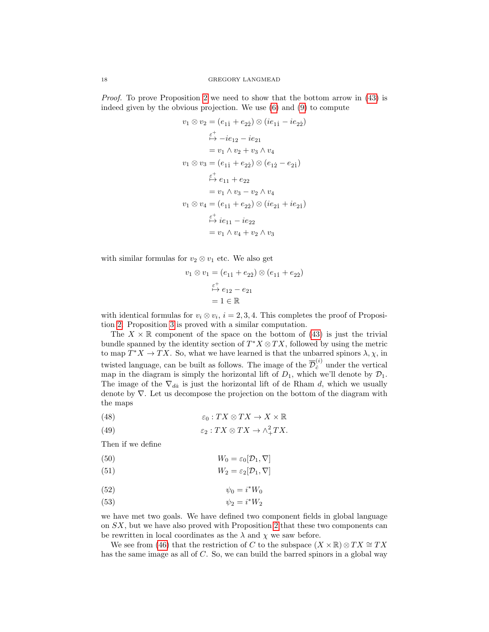Proof. To prove Proposition [2](#page-16-0) we need to show that the bottom arrow in [\(43\)](#page-16-1) is indeed given by the obvious projection. We use [\(6\)](#page-5-0) and [\(9\)](#page-7-1) to compute

$$
v_1 \otimes v_2 = (e_{11} + e_{22}) \otimes (ie_{11} - ie_{22})
$$
  
\n
$$
\xrightarrow{\varepsilon^+} -ie_{12} - ie_{21}
$$
  
\n
$$
= v_1 \wedge v_2 + v_3 \wedge v_4
$$
  
\n
$$
v_1 \otimes v_3 = (e_{11} + e_{22}) \otimes (e_{12} - e_{21})
$$
  
\n
$$
\xrightarrow{\varepsilon^+} e_{11} + e_{22}
$$
  
\n
$$
= v_1 \wedge v_3 - v_2 \wedge v_4
$$
  
\n
$$
v_1 \otimes v_4 = (e_{11} + e_{22}) \otimes (ie_{21} + ie_{21})
$$
  
\n
$$
\xrightarrow{\varepsilon^+} ie_{11} - ie_{22}
$$
  
\n
$$
= v_1 \wedge v_4 + v_2 \wedge v_3
$$

with similar formulas for  $v_2 \otimes v_1$  etc. We also get

$$
v_1 \otimes v_1 = (e_{11} + e_{22}) \otimes (e_{11} + e_{22})
$$
  

$$
\stackrel{\varepsilon^+}{\mapsto} e_{12} - e_{21}
$$
  

$$
= 1 \in \mathbb{R}
$$

with identical formulas for  $v_i \otimes v_i$ ,  $i = 2, 3, 4$ . This completes the proof of Proposition [2.](#page-16-0) Proposition [3](#page-16-2) is proved with a similar computation.

The  $X \times \mathbb{R}$  component of the space on the bottom of [\(43\)](#page-16-1) is just the trivial bundle spanned by the identity section of  $T^*X \otimes TX$ , followed by using the metric to map  $T^*X \to TX$ . So, what we have learned is that the unbarred spinors  $\lambda, \chi$ , in twisted language, can be built as follows. The image of the  $\overline{\mathcal{D}}_c^{(i)}$  under the vertical map in the diagram is simply the horizontal lift of  $D_1$ , which we'll denote by  $\mathcal{D}_1$ . The image of the  $\nabla_{da}$  is just the horizontal lift of de Rham d, which we usually denote by ∇. Let us decompose the projection on the bottom of the diagram with the maps

(48) 
$$
\varepsilon_0: TX \otimes TX \to X \times \mathbb{R}
$$

(49) 
$$
\varepsilon_2: TX \otimes TX \to \wedge^2_+ TX.
$$

Then if we define

(50) 
$$
W_0 = \varepsilon_0[\mathcal{D}_1, \nabla]
$$

(51) 
$$
W_2 = \varepsilon_2[\mathcal{D}_1, \nabla]
$$

$$
\psi_0 = i^* W_0
$$

$$
\psi_2 = i^* W_2
$$

we have met two goals. We have defined two component fields in global language on SX, but we have also proved with Proposition [2](#page-16-0) that these two components can be rewritten in local coordinates as the  $\lambda$  and  $\chi$  we saw before.

We see from [\(46\)](#page-16-3) that the restriction of C to the subspace  $(X \times \mathbb{R}) \otimes TX \cong TX$ has the same image as all of  $C$ . So, we can build the barred spinors in a global way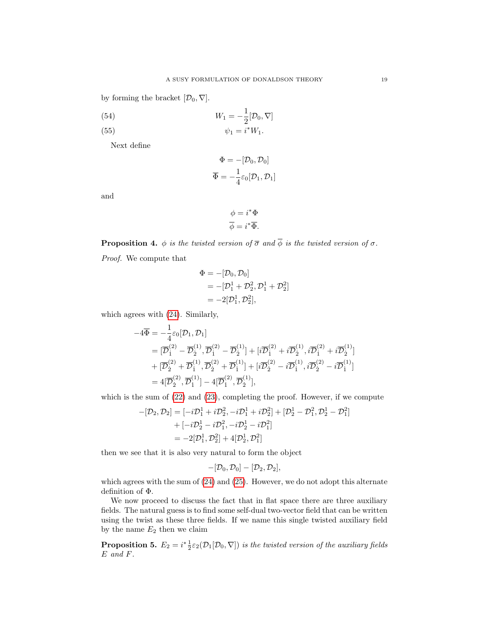by forming the bracket  $[\mathcal{D}_0, \nabla]$ .

(54) 
$$
W_1 = -\frac{1}{2} [\mathcal{D}_0, \nabla]
$$

$$
\psi_1 = i^* W_1.
$$

Next define

$$
\Phi = -[\mathcal{D}_0, \mathcal{D}_0]
$$

$$
\overline{\Phi} = -\frac{1}{4}\varepsilon_0[\mathcal{D}_1, \mathcal{D}_1]
$$

and

$$
\phi = i^* \Phi
$$

$$
\overline{\phi} = i^* \overline{\Phi}.
$$

**Proposition 4.**  $\phi$  is the twisted version of  $\overline{\sigma}$  and  $\overline{\phi}$  is the twisted version of  $\sigma$ .

Proof. We compute that

$$
\Phi = -[\mathcal{D}_0, \mathcal{D}_0]
$$
  
= -[\mathcal{D}\_1^1 + \mathcal{D}\_2^2, \mathcal{D}\_1^1 + \mathcal{D}\_2^2]  
= -2[\mathcal{D}\_1^1, \mathcal{D}\_2^2],

which agrees with [\(24\)](#page-10-0). Similarly,

$$
-4\overline{\Phi} = -\frac{1}{4}\varepsilon_0[\mathcal{D}_1, \mathcal{D}_1]
$$
  
=  $[\overline{\mathcal{D}}_1^{(2)} - \overline{\mathcal{D}}_2^{(1)}, \overline{\mathcal{D}}_1^{(2)} - \overline{\mathcal{D}}_2^{(1)}] + [i\overline{\mathcal{D}}_1^{(2)} + i\overline{\mathcal{D}}_2^{(1)}, i\overline{\mathcal{D}}_1^{(2)} + i\overline{\mathcal{D}}_2^{(1)}] + [\overline{\mathcal{D}}_2^{(2)} + \overline{\mathcal{D}}_1^{(1)}, \overline{\mathcal{D}}_2^{(2)} - i\overline{\mathcal{D}}_1^{(1)}, i\overline{\mathcal{D}}_2^{(2)} - i\overline{\mathcal{D}}_1^{(1)}] = 4[\overline{\mathcal{D}}_2^{(2)}, \overline{\mathcal{D}}_1^{(1)}] - 4[\overline{\mathcal{D}}_1^{(2)}, \overline{\mathcal{D}}_2^{(1)}],$ 

which is the sum of  $(22)$  and  $(23)$ , completing the proof. However, if we compute

$$
-[\mathcal{D}_2, \mathcal{D}_2] = [-i\mathcal{D}_1^1 + i\mathcal{D}_2^2, -i\mathcal{D}_1^1 + i\mathcal{D}_2^2] + [\mathcal{D}_2^1 - \mathcal{D}_1^2, \mathcal{D}_2^1 - \mathcal{D}_1^2] + [-i\mathcal{D}_2^1 - i\mathcal{D}_1^2, -i\mathcal{D}_2^1 - i\mathcal{D}_1^2] = -2[\mathcal{D}_1^1, \mathcal{D}_2^2] + 4[\mathcal{D}_2^1, \mathcal{D}_1^2]
$$

then we see that it is also very natural to form the object

$$
-[\mathcal{D}_0,\mathcal{D}_0]-[\mathcal{D}_2,\mathcal{D}_2],
$$

which agrees with the sum of  $(24)$  and  $(25)$ . However, we do not adopt this alternate definition of Φ.

We now proceed to discuss the fact that in flat space there are three auxiliary fields. The natural guess is to find some self-dual two-vector field that can be written using the twist as these three fields. If we name this single twisted auxiliary field by the name  $E_2$  then we claim

**Proposition 5.**  $E_2 = i^* \frac{1}{2} \varepsilon_2(\mathcal{D}_1[\mathcal{D}_0, \nabla])$  is the twisted version of the auxiliary fields E and F.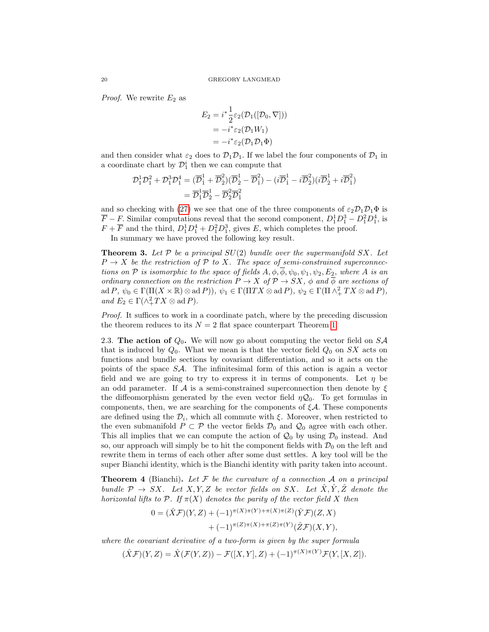*Proof.* We rewrite  $E_2$  as

$$
E_2 = i^* \frac{1}{2} \varepsilon_2(\mathcal{D}_1([\mathcal{D}_0, \nabla]))
$$
  
=  $-i^* \varepsilon_2(\mathcal{D}_1 W_1)$   
=  $-i^* \varepsilon_2(\mathcal{D}_1 \mathcal{D}_1 \Phi)$ 

and then consider what  $\varepsilon_2$  does to  $\mathcal{D}_1\mathcal{D}_1$ . If we label the four components of  $\mathcal{D}_1$  in a coordinate chart by  $\mathcal{D}_1^i$  then we can compute that

$$
\begin{aligned} \mathcal{D}_1^1 \mathcal{D}_1^2 + \mathcal{D}_1^3 \mathcal{D}_1^4 &= (\overline{\mathcal{D}}_1^1 + \overline{\mathcal{D}}_2^2)(\overline{\mathcal{D}}_2^1 - \overline{\mathcal{D}}_1^2) - (i\overline{\mathcal{D}}_1^1 - i\overline{\mathcal{D}}_2^2)(i\overline{\mathcal{D}}_2^1 + i\overline{\mathcal{D}}_1^2) \\ &= \overline{\mathcal{D}}_1^1 \overline{\mathcal{D}}_2^1 - \overline{\mathcal{D}}_2^2 \overline{\mathcal{D}}_1^2 \end{aligned}
$$

and so checking with [\(27\)](#page-11-2) we see that one of the three components of  $\varepsilon_2\mathcal{D}_1\mathcal{D}_1\Phi$  is  $\overline{F} - F$ . Similar computations reveal that the second component,  $D_1^1 D_1^3 - D_1^2 D_1^4$ , is  $F + \overline{F}$  and the third,  $D_1^1 D_1^4 + D_1^2 D_1^3$ , gives E, which completes the proof.

In summary we have proved the following key result.

**Theorem 3.** Let  $P$  be a principal  $SU(2)$  bundle over the supermanifold  $SX$ . Let  $P \to X$  be the restriction of P to X. The space of semi-constrained superconnections on P is isomorphic to the space of fields  $A, \phi, \overline{\phi}, \psi_0, \psi_1, \psi_2, E_2$ , where A is an ordinary connection on the restriction  $P \to X$  of  $P \to SX$ ,  $\phi$  and  $\overline{\phi}$  are sections of  $\text{ad } P, \psi_0 \in \Gamma(\Pi(X \times \mathbb{R}) \otimes \text{ad } P), \psi_1 \in \Gamma(\Pi TX \otimes \text{ad } P), \psi_2 \in \Gamma(\Pi \wedge^2_+ TX \otimes \text{ad } P),$ and  $E_2 \in \Gamma(\wedge^2_+ TX \otimes \mathrm{ad} P).$ 

Proof. It suffices to work in a coordinate patch, where by the preceding discussion the theorem reduces to its  $N = 2$  flat space counterpart Theorem [1.](#page-9-2)

2.3. The action of  $Q_0$ . We will now go about computing the vector field on  $S\mathcal{A}$ that is induced by  $Q_0$ . What we mean is that the vector field  $Q_0$  on SX acts on functions and bundle sections by covariant differentiation, and so it acts on the points of the space  $S\mathcal{A}$ . The infinitesimal form of this action is again a vector field and we are going to try to express it in terms of components. Let  $\eta$  be an odd parameter. If A is a semi-constrained superconnection then denote by  $\xi$ the diffeomorphism generated by the even vector field  $\eta \mathcal{Q}_0$ . To get formulas in components, then, we are searching for the components of  $\xi A$ . These components are defined using the  $\mathcal{D}_i$ , which all commute with  $\xi$ . Moreover, when restricted to the even submanifold  $P \subset \mathcal{P}$  the vector fields  $\mathcal{D}_0$  and  $\mathcal{Q}_0$  agree with each other. This all implies that we can compute the action of  $\mathcal{Q}_0$  by using  $\mathcal{D}_0$  instead. And so, our approach will simply be to hit the component fields with  $\mathcal{D}_0$  on the left and rewrite them in terms of each other after some dust settles. A key tool will be the super Bianchi identity, which is the Bianchi identity with parity taken into account.

**Theorem 4** (Bianchi). Let  $\mathcal F$  be the curvature of a connection  $\mathcal A$  on a principal bundle  $\mathcal{P} \to SX$ . Let X, Y, Z be vector fields on SX. Let  $\hat{X}, \hat{Y}, \hat{Z}$  denote the horizontal lifts to P. If  $\pi(X)$  denotes the parity of the vector field X then

$$
0 = (\hat{X}\mathcal{F})(Y,Z) + (-1)^{\pi(X)\pi(Y) + \pi(X)\pi(Z)} (\hat{Y}\mathcal{F})(Z,X) + (-1)^{\pi(Z)\pi(X) + \pi(Z)\pi(Y)} (\hat{Z}\mathcal{F})(X,Y),
$$

where the covariant derivative of a two-form is given by the super formula

$$
(\hat{X}\mathcal{F})(Y,Z) = \hat{X}(\mathcal{F}(Y,Z)) - \mathcal{F}([X,Y],Z) + (-1)^{\pi(X)\pi(Y)}\mathcal{F}(Y,[X,Z]).
$$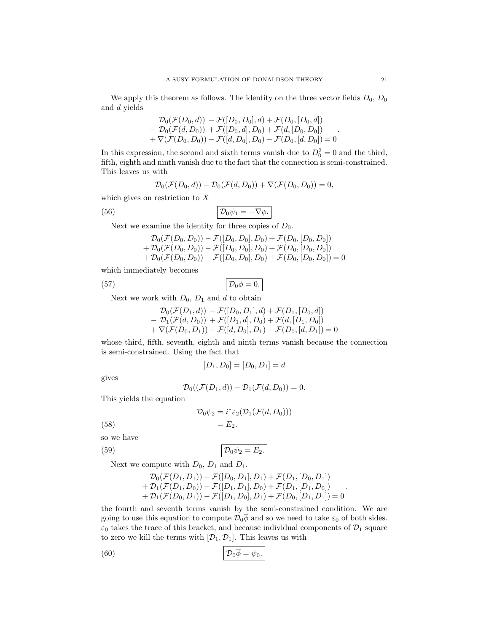We apply this theorem as follows. The identity on the three vector fields  $D_0$ ,  $D_0$ and d yields

$$
\mathcal{D}_0(\mathcal{F}(D_0, d)) - \mathcal{F}([D_0, D_0], d) + \mathcal{F}(D_0, [D_0, d]) \n- \mathcal{D}_0(\mathcal{F}(d, D_0)) + \mathcal{F}([D_0, d], D_0) + \mathcal{F}(d, [D_0, D_0]) \n+ \nabla(\mathcal{F}(D_0, D_0)) - \mathcal{F}([d, D_0], D_0) - \mathcal{F}(D_0, [d, D_0]) = 0
$$

In this expression, the second and sixth terms vanish due to  $D_0^2 = 0$  and the third, fifth, eighth and ninth vanish due to the fact that the connection is semi-constrained. This leaves us with

$$
\mathcal{D}_0(\mathcal{F}(D_0,d)) - \mathcal{D}_0(\mathcal{F}(d,D_0)) + \nabla(\mathcal{F}(D_0,D_0)) = 0,
$$

which gives on restriction to  $X$ 

(56) 
$$
\mathcal{D}_0 \psi_1 = -\nabla \phi.
$$

Next we examine the identity for three copies of  $D_0$ .

$$
D_0(\mathcal{F}(D_0, D_0)) - \mathcal{F}([D_0, D_0], D_0) + \mathcal{F}(D_0, [D_0, D_0]) + \mathcal{D}_0(\mathcal{F}(D_0, D_0)) - \mathcal{F}([D_0, D_0], D_0) + \mathcal{F}(D_0, [D_0, D_0]) + \mathcal{D}_0(\mathcal{F}(D_0, D_0)) - \mathcal{F}([D_0, D_0], D_0) + \mathcal{F}(D_0, [D_0, D_0]) = 0
$$

which immediately becomes

(57) D0φ = 0.

Next we work with  $D_0$ ,  $D_1$  and d to obtain

$$
\mathcal{D}_0(\mathcal{F}(D_1, d)) - \mathcal{F}([D_0, D_1], d) + \mathcal{F}(D_1, [D_0, d]) \n- \mathcal{D}_1(\mathcal{F}(d, D_0)) + \mathcal{F}([D_1, d], D_0) + \mathcal{F}(d, [D_1, D_0]) \n+ \nabla(\mathcal{F}(D_0, D_1)) - \mathcal{F}([d, D_0], D_1) - \mathcal{F}(D_0, [d, D_1]) = 0
$$

whose third, fifth, seventh, eighth and ninth terms vanish because the connection is semi-constrained. Using the fact that

$$
[D_1, D_0] = [D_0, D_1] = d
$$

gives

$$
\mathcal{D}_0((\mathcal{F}(D_1,d)) - \mathcal{D}_1(\mathcal{F}(d,D_0)) = 0.
$$

This yields the equation

$$
\mathcal{D}_0 \psi_2 = i^* \varepsilon_2 (\mathcal{D}_1(\mathcal{F}(d, D_0)))
$$

$$
(58) \qquad \qquad = E_2.
$$

so we have

(59) D0ψ<sup>2</sup> = E2.

Next we compute with  $D_0$ ,  $D_1$  and  $D_1$ .

$$
D_0(\mathcal{F}(D_1, D_1)) - \mathcal{F}([D_0, D_1], D_1) + \mathcal{F}(D_1, [D_0, D_1])
$$
  
+ 
$$
D_1(\mathcal{F}(D_1, D_0)) - \mathcal{F}([D_1, D_1], D_0) + \mathcal{F}(D_1, [D_1, D_0])
$$
  
+ 
$$
D_1(\mathcal{F}(D_0, D_1)) - \mathcal{F}([D_1, D_0], D_1) + \mathcal{F}(D_0, [D_1, D_1]) = 0
$$

the fourth and seventh terms vanish by the semi-constrained condition. We are going to use this equation to compute  $\mathcal{D}_0\overline{\phi}$  and so we need to take  $\varepsilon_0$  of both sides.  $\varepsilon_0$  takes the trace of this bracket, and because individual components of  $\mathcal{D}_1$  square to zero we kill the terms with  $[\mathcal{D}_1, \mathcal{D}_1]$ . This leaves us with

(60) 
$$
\mathcal{D}_0 \overline{\phi} = \psi_0.
$$

.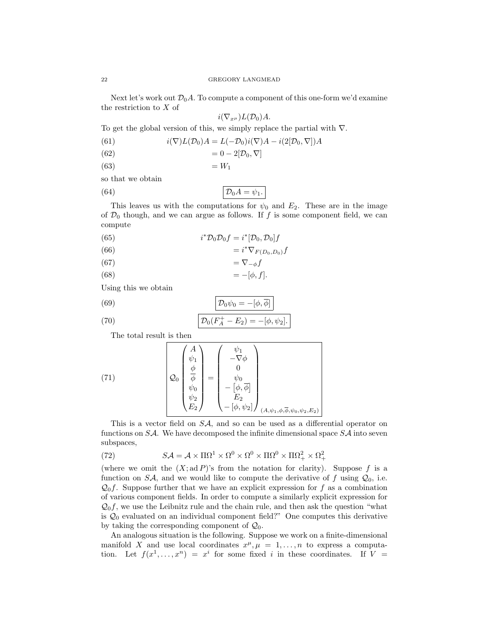Next let's work out  $\mathcal{D}_0A$ . To compute a component of this one-form we'd examine the restriction to X of

$$
i(\nabla_{x^{\mu}})L(\mathcal{D}_0)A.
$$

To get the global version of this, we simply replace the partial with ∇.

(61) 
$$
i(\nabla)L(\mathcal{D}_0)A=L(-\mathcal{D}_0)i(\nabla)A-i(2[\mathcal{D}_0,\nabla])A
$$

$$
(62) \qquad \qquad = 0 - 2[\mathcal{D}_0, \nabla]
$$

(63)  $= W_1$ 

so that we obtain

(64) D0A = ψ1.

This leaves us with the computations for  $\psi_0$  and  $E_2$ . These are in the image of  $\mathcal{D}_0$  though, and we can argue as follows. If f is some component field, we can compute

(65) 
$$
i^* \mathcal{D}_0 \mathcal{D}_0 f = i^* [\mathcal{D}_0, \mathcal{D}_0] f
$$

$$
(66)\qquad \qquad = i^* \nabla_{F(D_0, D_0)} f
$$

$$
(67) \qquad \qquad = \nabla_{-\phi} f
$$

$$
(68)\qquad \qquad =-[\phi,f].
$$

Using this we obtain

(69) 
$$
\mathcal{D}_0 \psi_0 = -[\phi, \overline{\phi}]
$$

(70) 
$$
\mathcal{D}_0(F_A^+ - E_2) = -[\phi, \psi_2].
$$

The total result is then

(71) 
$$
\mathcal{Q}_0 \begin{pmatrix} A \\ \psi_1 \\ \phi \\ \psi_0 \\ \psi_2 \\ E_2 \end{pmatrix} = \begin{pmatrix} \psi_1 \\ -\nabla \phi \\ 0 \\ \psi_0 \\ -[\phi, \overline{\phi}] \\ E_2 \\ -[\phi, \psi_2] \end{pmatrix}_{(A, \psi_1, \phi, \overline{\phi}, \psi_0, \psi_2, E_2)}
$$

This is a vector field on SA, and so can be used as a differential operator on functions on  $S\mathcal{A}$ . We have decomposed the infinite dimensional space  $S\mathcal{A}$  into seven subspaces,

(72) 
$$
S\mathcal{A} = \mathcal{A} \times \Pi \Omega^1 \times \Omega^0 \times \Omega^0 \times \Pi \Omega^0 \times \Pi \Omega^2_+ \times \Omega^2_+
$$

(where we omit the  $(X; ad P)$ 's from the notation for clarity). Suppose f is a function on SA, and we would like to compute the derivative of f using  $\mathcal{Q}_0$ , i.e.  $\mathcal{Q}_0 f$ . Suppose further that we have an explicit expression for f as a combination of various component fields. In order to compute a similarly explicit expression for  $\mathcal{Q}_0 f$ , we use the Leibnitz rule and the chain rule, and then ask the question "what is  $\mathcal{Q}_0$  evaluated on an individual component field?" One computes this derivative by taking the corresponding component of  $\mathcal{Q}_0$ .

An analogous situation is the following. Suppose we work on a finite-dimensional manifold X and use local coordinates  $x^{\mu}, \mu = 1, ..., n$  to express a computation. Let  $f(x^1, \ldots, x^n) = x^i$  for some fixed i in these coordinates. If  $V =$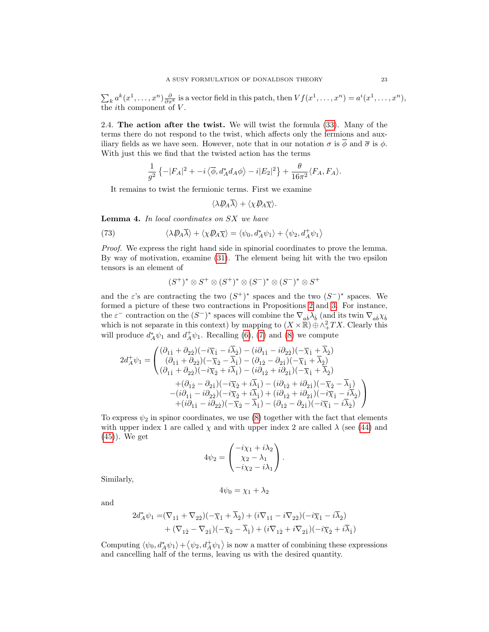$\sum_{k} a^{k}(x^{1},...,x^{n}) \frac{\partial}{\partial x^{k}}$  is a vector field in this patch, then  $Vf(x^{1},...,x^{n}) = a^{i}(x^{1},...,x^{n}),$ the *i*th component of  $V$ .

<span id="page-22-0"></span>2.4. The action after the twist. We will twist the formula [\(33\)](#page-12-1). Many of the terms there do not respond to the twist, which affects only the fermions and auxiliary fields as we have seen. However, note that in our notation  $\sigma$  is  $\overline{\phi}$  and  $\overline{\sigma}$  is  $\phi$ . With just this we find that the twisted action has the terms

$$
\frac{1}{g^2} \left\{-|F_A|^2 + -i\left\langle \overline{\phi}, d_A^* d_A \phi \right\rangle - i|E_2|^2 \right\} + \frac{\theta}{16\pi^2} \langle F_A, F_A \rangle.
$$

It remains to twist the fermionic terms. First we examine

$$
\langle \lambda \not\!\! D_A \overline{\lambda} \rangle + \langle \chi \not\!\! D_A \overline{\chi} \rangle.
$$

Lemma 4. In local coordinates on SX we have

(73) 
$$
\langle \lambda \not\!\!D_A \overline{\lambda} \rangle + \langle \chi \not\!\!D_A \overline{\chi} \rangle = \langle \psi_0, d_A^* \psi_1 \rangle + \langle \psi_2, d_A^+ \psi_1 \rangle
$$

Proof. We express the right hand side in spinorial coordinates to prove the lemma. By way of motivation, examine [\(31\)](#page-12-2). The element being hit with the two epsilon tensors is an element of

$$
(S^+)^* \otimes S^+ \otimes (S^+)^* \otimes (S^-)^* \otimes (S^-)^* \otimes S^+
$$

and the  $\varepsilon$ 's are contracting the two  $(S^+)^*$  spaces and the two  $(S^-)^*$  spaces. We formed a picture of these two contractions in Propositions [2](#page-16-0) and [3.](#page-16-2) For instance, the  $\varepsilon^-$  contraction on the  $(S^-)^*$  spaces will combine the  $\nabla_{ab}\lambda_b$  (and its twin  $\nabla_{ab}\chi_b$ which is not separate in this context) by mapping to  $(X \times \mathbb{R}) \oplus \wedge^2_T TX$ . Clearly this will produce  $d_A^*\psi_1$  and  $d_A^+\psi_1$ . Recalling [\(6\)](#page-5-0), [\(7\)](#page-6-1) and [\(8\)](#page-7-0) we compute

$$
2d_A^+\psi_1 = \begin{pmatrix} (\partial_{1\dot{1}} + \partial_{2\dot{2}})(-i\overline{\chi}_{\dot{1}} - i\overline{\lambda}_{\dot{2}}) - (\dot{i}\partial_{1\dot{1}} - i\partial_{2\dot{2}})(-\overline{\chi}_{\dot{1}} + \overline{\lambda}_{\dot{2}}) \\ (\partial_{1\dot{1}} + \partial_{2\dot{2}})(-\overline{\chi}_{\dot{2}} - \overline{\lambda}_{\dot{1}}) - (\partial_{1\dot{2}} - \partial_{2\dot{1}})(-\overline{\chi}_{\dot{1}} + \overline{\lambda}_{\dot{2}}) \\ (\partial_{1\dot{1}} + \partial_{2\dot{2}})(-i\overline{\chi}_{\dot{2}} + i\overline{\lambda}_{\dot{1}}) - (\dot{i}\partial_{1\dot{2}} + i\partial_{2\dot{1}})(-\overline{\chi}_{\dot{1}} + \overline{\lambda}_{\dot{2}}) \\ + (\partial_{1\dot{2}} - \partial_{2\dot{1}})(-i\overline{\chi}_{\dot{2}} + i\overline{\lambda}_{\dot{1}}) - (\dot{i}\partial_{1\dot{2}} + i\partial_{2\dot{1}})(-\overline{\chi}_{\dot{2}} - \overline{\lambda}_{\dot{1}}) \\ - (\dot{i}\partial_{1\dot{1}} - i\partial_{2\dot{2}})(-i\overline{\chi}_{\dot{2}} + i\overline{\lambda}_{\dot{1}}) + (\dot{i}\partial_{1\dot{2}} + i\partial_{2\dot{1}})(-i\overline{\chi}_{\dot{1}} - i\overline{\lambda}_{\dot{2}}) \\ + (\dot{i}\partial_{1\dot{1}} - i\partial_{2\dot{2}})(-\overline{\chi}_{\dot{2}} - \overline{\lambda}_{\dot{1}}) - (\partial_{1\dot{2}} - \partial_{2\dot{1}})(-i\overline{\chi}_{\dot{1}} - i\overline{\lambda}_{\dot{2}}) \end{pmatrix}
$$

To express  $\psi_2$  in spinor coordinates, we use [\(8\)](#page-7-0) together with the fact that elements with upper index 1 are called  $\chi$  and with upper index 2 are called  $\lambda$  (see [\(44\)](#page-16-4) and [\(45\)](#page-16-5)). We get

$$
4\psi_2 = \begin{pmatrix} -i\chi_1 + i\lambda_2 \\ \chi_2 - \lambda_1 \\ -i\chi_2 - i\lambda_1 \end{pmatrix}.
$$

Similarly,

$$
4\psi_0 = \chi_1 + \lambda_2
$$

and

$$
\begin{aligned} 2d_A^*\psi_1=&(\nabla_{1\dot{1}}+\nabla_{2\dot{2}})(-\overline{\chi}_{\dot{1}}+\overline{\lambda}_{\dot{2}})+(i\nabla_{1\dot{1}}-i\nabla_{2\dot{2}})(-i\overline{\chi}_{\dot{1}}-i\overline{\lambda}_{\dot{2}})\\ &+(\nabla_{1\dot{2}}-\nabla_{2\dot{1}})(-\overline{\chi}_{\dot{2}}-\overline{\lambda}_{\dot{1}})+(i\nabla_{1\dot{2}}+i\nabla_{2\dot{1}})(-i\overline{\chi}_{\dot{2}}+i\overline{\lambda}_{\dot{1}})\end{aligned}
$$

Computing  $\langle \psi_0, d_A^* \psi_1 \rangle + \langle \psi_2, d_A^+ \psi_1 \rangle$  is now a matter of combining these expressions and cancelling half of the terms, leaving us with the desired quantity.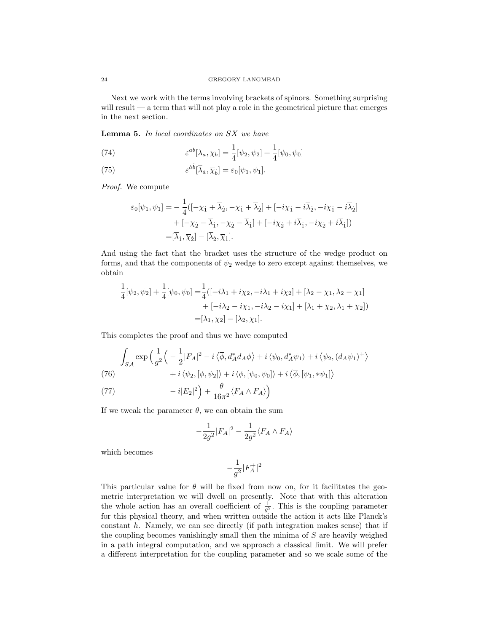Next we work with the terms involving brackets of spinors. Something surprising will result — a term that will not play a role in the geometrical picture that emerges in the next section.

Lemma 5. In local coordinates on SX we have

(74) 
$$
\varepsilon^{ab}[\lambda_a, \chi_b] = \frac{1}{4} [\psi_2, \psi_2] + \frac{1}{4} [\psi_0, \psi_0]
$$

(75) 
$$
\varepsilon^{\dot{a}\dot{b}}[\overline{\lambda}_{\dot{a}}, \overline{\chi}_{\dot{b}}] = \varepsilon_0[\psi_1, \psi_1].
$$

Proof. We compute

$$
\varepsilon_0[\psi_1, \psi_1] = -\frac{1}{4}([-\overline{\chi}_1 + \overline{\lambda}_2, -\overline{\chi}_1 + \overline{\lambda}_2] + [-i\overline{\chi}_1 - i\overline{\lambda}_2, -i\overline{\chi}_1 - i\overline{\lambda}_2] + [-\overline{\chi}_2 - \overline{\lambda}_1, -\overline{\chi}_2 - \overline{\lambda}_1] + [-i\overline{\chi}_2 + i\overline{\lambda}_1, -i\overline{\chi}_2 + i\overline{\lambda}_1]) = [\overline{\lambda}_1, \overline{\chi}_2] - [\overline{\lambda}_2, \overline{\chi}_1].
$$

And using the fact that the bracket uses the structure of the wedge product on forms, and that the components of  $\psi_2$  wedge to zero except against themselves, we obtain

$$
\frac{1}{4}[\psi_2, \psi_2] + \frac{1}{4}[\psi_0, \psi_0] = \frac{1}{4} ([-i\lambda_1 + i\chi_2, -i\lambda_1 + i\chi_2] + [\lambda_2 - \chi_1, \lambda_2 - \chi_1] \n+ [-i\lambda_2 - i\chi_1, -i\lambda_2 - i\chi_1] + [\lambda_1 + \chi_2, \lambda_1 + \chi_2]) \n= [\lambda_1, \chi_2] - [\lambda_2, \chi_1].
$$

This completes the proof and thus we have computed

$$
\int_{SA} \exp\left(\frac{1}{g^2}\left(-\frac{1}{2}|F_A|^2 - i\left\langle \overline{\phi}, d_A^* d_A \phi \right\rangle + i\left\langle \psi_0, d_A^* \psi_1 \right\rangle + i\left\langle \psi_2, (d_A \psi_1)^+ \right\rangle \right) \right)
$$
\n
$$
+ i \left\langle \psi_2, [\phi, \psi_2] \right\rangle + i \left\langle \phi, [\psi_0, \psi_0] \right\rangle + i \left\langle \overline{\phi}, [\psi_1, * \psi_1] \right\rangle
$$

(77) 
$$
-i|E_2|^2\Big) + \frac{\theta}{16\pi^2}\langle F_A \wedge F_A \rangle\Big)
$$

If we tweak the parameter  $\theta$ , we can obtain the sum

$$
-\frac{1}{2g^2}|F_A|^2 - \frac{1}{2g^2}\langle F_A \wedge F_A \rangle
$$

which becomes

$$
-\frac{1}{g^2}|F_A^+|^2
$$

This particular value for  $\theta$  will be fixed from now on, for it facilitates the geometric interpretation we will dwell on presently. Note that with this alteration the whole action has an overall coefficient of  $\frac{1}{g^2}$ . This is the coupling parameter for this physical theory, and when written outside the action it acts like Planck's constant h. Namely, we can see directly (if path integration makes sense) that if the coupling becomes vanishingly small then the minima of  $S$  are heavily weighed in a path integral computation, and we approach a classical limit. We will prefer a different interpretation for the coupling parameter and so we scale some of the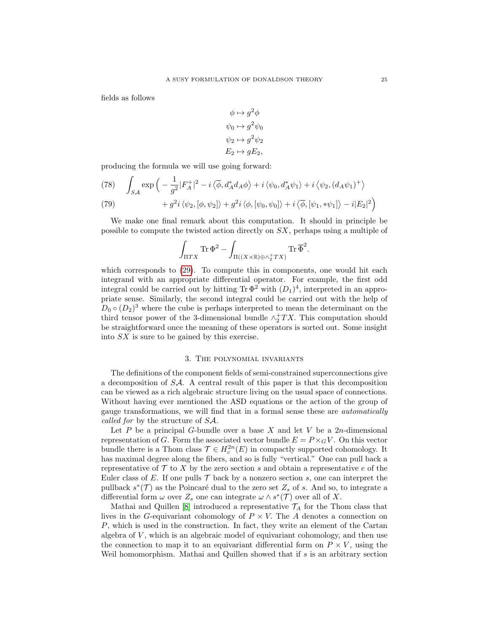fields as follows

$$
\phi \mapsto g^2 \phi
$$
  
\n
$$
\psi_0 \mapsto g^2 \psi_0
$$
  
\n
$$
\psi_2 \mapsto g^2 \psi_2
$$
  
\n
$$
E_2 \mapsto gE_2
$$

producing the formula we will use going forward:

<span id="page-24-0"></span>(78) 
$$
\int_{SA} \exp\left(-\frac{1}{g^2}|F_A^+|^2 - i\langle\overline{\phi}, d_A^*d_A\phi\rangle + i\langle\psi_0, d_A^*\psi_1\rangle + i\langle\psi_2, (d_A\psi_1)^+\rangle \right) + g^2i\langle\psi_2, [\phi, \psi_2]\rangle + g^2i\langle\phi, [\psi_0, \psi_0]\rangle + i\langle\overline{\phi}, [\psi_1, * \psi_1]\rangle - i|E_2|^2\right)
$$

We make one final remark about this computation. It should in principle be possible to compute the twisted action directly on SX, perhaps using a multiple of

$$
\int_{\Pi TX} \text{Tr}\, \Phi^2 - \int_{\Pi((X\times\mathbb{R})\oplus\wedge_2^+ TX)} \text{Tr}\, \overline{\Phi}^2.
$$

which corresponds to [\(29\)](#page-11-0). To compute this in components, one would hit each integrand with an appropriate differential operator. For example, the first odd integral could be carried out by hitting  $\text{Tr }\Phi^2$  with  $(D_1)^4$ , interpreted in an appropriate sense. Similarly, the second integral could be carried out with the help of  $D_0 \circ (D_2)^3$  where the cube is perhaps interpreted to mean the determinant on the third tensor power of the 3-dimensional bundle  $\wedge_2^+TX$ . This computation should be straightforward once the meaning of these operators is sorted out. Some insight into SX is sure to be gained by this exercise.

# 3. The polynomial invariants

The definitions of the component fields of semi-constrained superconnections give a decomposition of SA. A central result of this paper is that this decomposition can be viewed as a rich algebraic structure living on the usual space of connections. Without having ever mentioned the ASD equations or the action of the group of gauge transformations, we will find that in a formal sense these are automatically called for by the structure of SA.

Let  $P$  be a principal  $G$ -bundle over a base  $X$  and let  $V$  be a 2n-dimensional representation of G. Form the associated vector bundle  $E = P \times_G V$ . On this vector bundle there is a Thom class  $\mathcal{T} \in H_c^{2n}(E)$  in compactly supported cohomology. It has maximal degree along the fibers, and so is fully "vertical." One can pull back a representative of  $\mathcal T$  to  $X$  by the zero section s and obtain a representative e of the Euler class of E. If one pulls  $\mathcal T$  back by a nonzero section s, one can interpret the pullback  $s^*(\mathcal{T})$  as the Poincaré dual to the zero set  $Z_s$  of s. And so, to integrate a differential form  $\omega$  over  $Z_s$  one can integrate  $\omega \wedge s^*(\mathcal{T})$  over all of X.

Mathai and Quillen [\[8\]](#page-38-7) introduced a representative  $\mathcal{T}_A$  for the Thom class that lives in the G-equivariant cohomology of  $P \times V$ . The A denotes a connection on P, which is used in the construction. In fact, they write an element of the Cartan algebra of  $V$ , which is an algebraic model of equivariant cohomology, and then use the connection to map it to an equivariant differential form on  $P \times V$ , using the Weil homomorphism. Mathai and Quillen showed that if  $s$  is an arbitrary section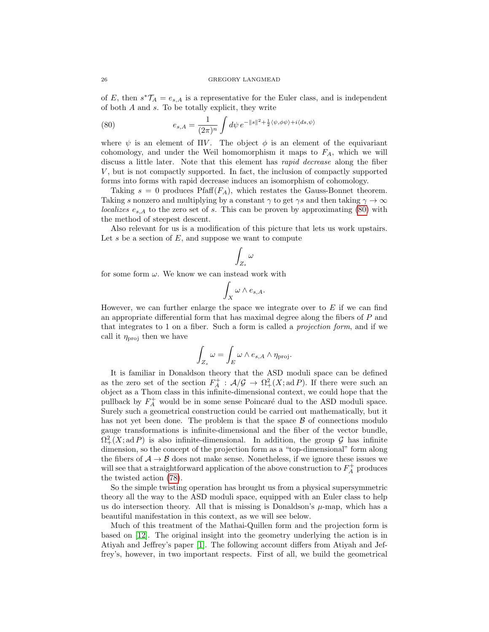of E, then  $s^*\mathcal{T}_A = e_{s,A}$  is a representative for the Euler class, and is independent of both A and s. To be totally explicit, they write

<span id="page-25-0"></span>(80) 
$$
e_{s,A} = \frac{1}{(2\pi)^n} \int d\psi \, e^{-\|s\|^2 + \frac{1}{2} \langle \psi, \phi \psi \rangle + i \langle ds, \psi \rangle}
$$

where  $\psi$  is an element of  $\Pi V$ . The object  $\phi$  is an element of the equivariant cohomology, and under the Weil homomorphism it maps to  $F_A$ , which we will discuss a little later. Note that this element has *rapid decrease* along the fiber V , but is not compactly supported. In fact, the inclusion of compactly supported forms into forms with rapid decrease induces an isomorphism of cohomology.

Taking  $s = 0$  produces Pfaff $(F_A)$ , which restates the Gauss-Bonnet theorem. Taking s nonzero and multiplying by a constant  $\gamma$  to get  $\gamma s$  and then taking  $\gamma \to \infty$ localizes  $e_{s,A}$  to the zero set of s. This can be proven by approximating [\(80\)](#page-25-0) with the method of steepest descent.

Also relevant for us is a modification of this picture that lets us work upstairs. Let s be a section of  $E$ , and suppose we want to compute

$$
\int_{Z_s} \omega
$$

for some form  $\omega$ . We know we can instead work with

$$
\int_X \omega \wedge e_{s,A}.
$$

However, we can further enlarge the space we integrate over to  $E$  if we can find an appropriate differential form that has maximal degree along the fibers of P and that integrates to 1 on a fiber. Such a form is called a projection form, and if we call it  $\eta_{\text{proj}}$  then we have

$$
\int_{Z_s} \omega = \int_E \omega \wedge e_{s,A} \wedge \eta_{\text{proj}}.
$$

It is familiar in Donaldson theory that the ASD moduli space can be defined as the zero set of the section  $F_A^+ : A/\mathcal{G} \to \Omega^2_+(X; \operatorname{ad} P)$ . If there were such an object as a Thom class in this infinite-dimensional context, we could hope that the pullback by  $F_A^+$  would be in some sense Poincaré dual to the ASD moduli space. Surely such a geometrical construction could be carried out mathematically, but it has not yet been done. The problem is that the space  $\beta$  of connections modulo gauge transformations is infinite-dimensional and the fiber of the vector bundle,  $\Omega^2_+(X;\text{ad }P)$  is also infinite-dimensional. In addition, the group  $\mathcal G$  has infinite dimension, so the concept of the projection form as a "top-dimensional" form along the fibers of  $A \rightarrow B$  does not make sense. Nonetheless, if we ignore these issues we will see that a straightforward application of the above construction to  $F_A^+$  produces the twisted action [\(78\)](#page-24-0).

So the simple twisting operation has brought us from a physical supersymmetric theory all the way to the ASD moduli space, equipped with an Euler class to help us do intersection theory. All that is missing is Donaldson's  $\mu$ -map, which has a beautiful manifestation in this context, as we will see below.

Much of this treatment of the Mathai-Quillen form and the projection form is based on [\[12\]](#page-38-11). The original insight into the geometry underlying the action is in Atiyah and Jeffrey's paper [\[1\]](#page-38-0). The following account differs from Atiyah and Jeffrey's, however, in two important respects. First of all, we build the geometrical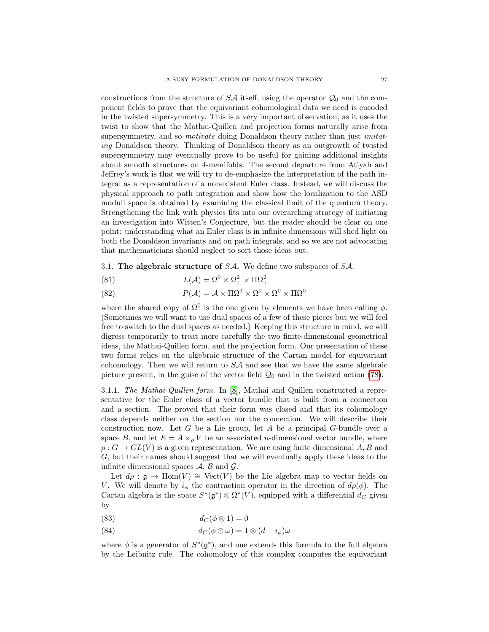constructions from the structure of  $S\mathcal{A}$  itself, using the operator  $\mathcal{Q}_0$  and the component fields to prove that the equivariant cohomological data we need is encoded in the twisted supersymmetry. This is a very important observation, as it uses the twist to show that the Mathai-Quillen and projection forms naturally arise from supersymmetry, and so *motivate* doing Donaldson theory rather than just *imitat*ing Donaldson theory. Thinking of Donaldson theory as an outgrowth of twisted supersymmetry may eventually prove to be useful for gaining additional insights about smooth structures on 4-manifolds. The second departure from Atiyah and Jeffrey's work is that we will try to de-emphasize the interpretation of the path integral as a representation of a nonexistent Euler class. Instead, we will discuss the physical approach to path integration and show how the localization to the ASD moduli space is obtained by examining the classical limit of the quantum theory. Strengthening the link with physics fits into our overarching strategy of initiating an investigation into Witten's Conjecture, but the reader should be clear on one point: understanding what an Euler class is in infinite dimensions will shed light on both the Donaldson invariants and on path integrals, and so we are not advocating that mathematicians should neglect to sort those ideas out.

3.1. The algebraic structure of SA. We define two subspaces of SA.

(81) 
$$
L(\mathcal{A}) = \Omega^0 \times \Omega^2_+ \times \Pi \Omega^2_+
$$

 $P(\mathcal{A}) = \mathcal{A} \times \Pi \Omega^1 \times \Omega^0 \times \Omega^0 \times \Pi \Omega^0$ (82)

where the shared copy of  $\Omega^0$  is the one given by elements we have been calling  $\phi$ . (Sometimes we will want to use dual spaces of a few of these pieces but we will feel free to switch to the dual spaces as needed.) Keeping this structure in mind, we will digress temporarily to treat more carefully the two finite-dimensional geometrical ideas, the Mathai-Quillen form, and the projection form. Our presentation of these two forms relies on the algebraic structure of the Cartan model for equivariant cohomology. Then we will return to  $S\mathcal{A}$  and see that we have the same algebraic picture present, in the guise of the vector field  $\mathcal{Q}_0$  and in the twisted action [\(78\)](#page-24-0).

3.1.1. The Mathai-Quillen form. In [\[8\]](#page-38-7), Mathai and Quillen constructed a representative for the Euler class of a vector bundle that is built from a connection and a section. The proved that their form was closed and that its cohomology class depends neither on the section nor the connection. We will describe their construction now. Let G be a Lie group, let A be a principal G-bundle over a space B, and let  $E = A \times_{\rho} V$  be an associated *n*-dimensional vector bundle, where  $\rho: G \to GL(V)$  is a given representation. We are using finite dimensional A, B and G, but their names should suggest that we will eventually apply these ideas to the infinite dimensional spaces  $A$ ,  $B$  and  $\mathcal{G}$ .

Let  $d\rho : \mathfrak{g} \to \text{Hom}(V) \cong \text{Vect}(V)$  be the Lie algebra map to vector fields on V. We will denote by  $i_{\phi}$  the contraction operator in the direction of  $d\rho(\phi)$ . The Cartan algebra is the space  $S^*(\mathfrak{g}^*) \otimes \Omega^*(V)$ , equipped with a differential  $d_C$  given by

- (83)  $d_C(\phi \otimes 1) = 0$
- (84)  $d_C(\phi \otimes \omega) = 1 \otimes (d i_\phi)\omega$

where  $\phi$  is a generator of  $S^*(\mathfrak{g}^*)$ , and one extends this formula to the full algebra by the Leibnitz rule. The cohomology of this complex computes the equivariant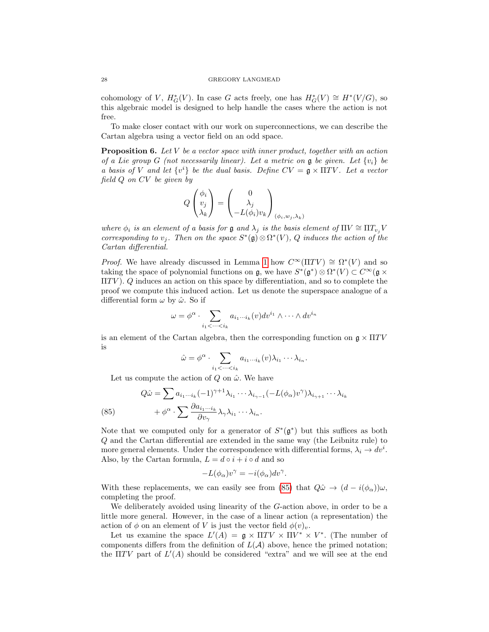#### 28 GREGORY LANGMEAD

cohomology of V,  $H^*_G(V)$ . In case G acts freely, one has  $H^*_G(V) \cong H^*(V/G)$ , so this algebraic model is designed to help handle the cases where the action is not free.

To make closer contact with our work on superconnections, we can describe the Cartan algebra using a vector field on an odd space.

<span id="page-27-1"></span>**Proposition 6.** Let V be a vector space with inner product, together with an action of a Lie group G (not necessarily linear). Let a metric on g be given. Let  $\{v_i\}$  be a basis of V and let  $\{v^i\}$  be the dual basis. Define  $CV = \mathfrak{g} \times \Pi TV$ . Let a vector field Q on CV be given by

$$
Q\begin{pmatrix} \phi_i \\ v_j \\ \lambda_k \end{pmatrix} = \begin{pmatrix} 0 \\ \lambda_j \\ -L(\phi_i)v_k \end{pmatrix}_{(\phi_i, w_j, \lambda_k)}
$$

where  $\phi_i$  is an element of a basis for g and  $\lambda_j$  is the basis element of  $\Pi V \cong \Pi T_{v_i} V$ corresponding to  $v_j$ . Then on the space  $S^*(\mathfrak{g}) \otimes \Omega^*(V)$ , Q induces the action of the Cartan differential.

*Proof.* We have already discussed in Lemma [1](#page-3-0) how  $C^{\infty}(\Pi TV) \cong \Omega^*(V)$  and so taking the space of polynomial functions on  $\mathfrak{g}$ , we have  $S^*(\mathfrak{g}^*)\otimes \Omega^*(V) \subset C^\infty(\mathfrak{g} \times$  $\Pi TV$ ). Q induces an action on this space by differentiation, and so to complete the proof we compute this induced action. Let us denote the superspace analogue of a differential form  $\omega$  by  $\hat{\omega}$ . So if

$$
\omega = \phi^{\alpha} \cdot \sum_{i_1 < \dots < i_k} a_{i_1 \dots i_k}(v) dv^{i_1} \wedge \dots \wedge dv^{i_n}
$$

is an element of the Cartan algebra, then the corresponding function on  $g \times \Pi TV$ is

$$
\hat{\omega} = \phi^{\alpha} \cdot \sum_{i_1 < \dots < i_k} a_{i_1 \dots i_k}(v) \lambda_{i_1} \dots \lambda_{i_n}.
$$

Let us compute the action of  $Q$  on  $\hat{\omega}$ . We have

<span id="page-27-0"></span>(85) 
$$
Q\hat{\omega} = \sum a_{i_1\cdots i_k} (-1)^{\gamma+1} \lambda_{i_1} \cdots \lambda_{i_{\gamma-1}} (-L(\phi_{\alpha})v^{\gamma}) \lambda_{i_{\gamma+1}} \cdots \lambda_{i_k}
$$

$$
+ \phi^{\alpha} \cdot \sum \frac{\partial a_{i_1\cdots i_k}}{\partial v_{\gamma}} \lambda_{\gamma} \lambda_{i_1} \cdots \lambda_{i_n}.
$$

Note that we computed only for a generator of  $S^*(\mathfrak{g}^*)$  but this suffices as both Q and the Cartan differential are extended in the same way (the Leibnitz rule) to more general elements. Under the correspondence with differential forms,  $\lambda_i \to dv^i$ . Also, by the Cartan formula,  $L = d \circ i + i \circ d$  and so

$$
-L(\phi_{\alpha})v^{\gamma} = -i(\phi_{\alpha})dv^{\gamma}.
$$

With these replacements, we can easily see from [\(85\)](#page-27-0) that  $Q\hat{\omega} \to (d - i(\phi_{\alpha}))\omega$ , completing the proof.

We deliberately avoided using linearity of the G-action above, in order to be a little more general. However, in the case of a linear action (a representation) the action of  $\phi$  on an element of V is just the vector field  $\phi(v)_v$ .

Let us examine the space  $L'(A) = \mathfrak{g} \times \Pi TV \times \Pi V^* \times V^*$ . (The number of components differs from the definition of  $L(\mathcal{A})$  above, hence the primed notation; the  $\Pi TV$  part of  $L'(A)$  should be considered "extra" and we will see at the end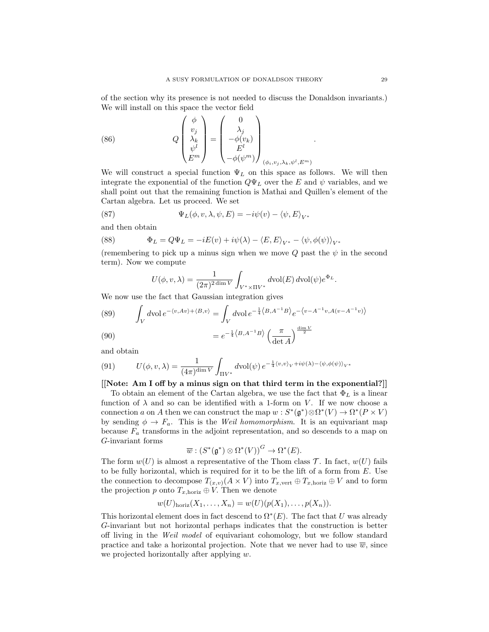of the section why its presence is not needed to discuss the Donaldson invariants.) We will install on this space the vector field

(86) 
$$
Q\begin{pmatrix} \phi \\ v_j \\ \lambda_k \\ \psi^l \\ E^m \end{pmatrix} = \begin{pmatrix} 0 \\ \lambda_j \\ -\phi(v_k) \\ E^l \\ -\phi(\psi^m) \end{pmatrix}_{(\phi_i, v_j, \lambda_k, \psi^l, E^m)}
$$

We will construct a special function  $\Psi_L$  on this space as follows. We will then integrate the exponential of the function  $Q\Psi_L$  over the E and  $\psi$  variables, and we shall point out that the remaining function is Mathai and Quillen's element of the Cartan algebra. Let us proceed. We set

(87) 
$$
\Psi_L(\phi, v, \lambda, \psi, E) = -i\psi(v) - \langle \psi, E \rangle_{V^*}
$$

and then obtain

(88) 
$$
\Phi_L = Q\Psi_L = -iE(v) + i\psi(\lambda) - \langle E, E \rangle_{V^*} - \langle \psi, \phi(\psi) \rangle_{V^*}
$$

(remembering to pick up a minus sign when we move Q past the  $\psi$  in the second term). Now we compute

$$
U(\phi, v, \lambda) = \frac{1}{(2\pi)^{2\dim V}} \int_{V^* \times \Pi V^*} d\text{vol}(E) d\text{vol}(\psi) e^{\Phi_L}.
$$

We now use the fact that Gaussian integration gives

(89) 
$$
\int_{V} dvol e^{-\langle v, Av \rangle + \langle B, v \rangle} = \int_{V} dvol e^{-\frac{1}{4} \langle B, A^{-1}B \rangle} e^{-\langle v - A^{-1}v, A(v - A^{-1}v) \rangle}
$$

(90) 
$$
= e^{-\frac{1}{4}\langle B, A^{-1}B \rangle} \left(\frac{\pi}{\det A}\right)^{\frac{\dim V}{2}}
$$

and obtain

(91) 
$$
U(\phi, v, \lambda) = \frac{1}{(4\pi)^{\dim V}} \int_{\Pi V^*} dvol(\psi) e^{-\frac{1}{4} \langle v, v \rangle_V + i\psi(\lambda) - \langle \psi, \phi(\psi) \rangle_{V^*}}
$$

[[Note: Am I off by a minus sign on that third term in the exponential?]]

To obtain an element of the Cartan algebra, we use the fact that  $\Phi_L$  is a linear function of  $\lambda$  and so can be identified with a 1-form on V. If we now choose a connection a on A then we can construct the map  $w : S^*(\mathfrak{g}^*) \otimes \Omega^*(V) \to \Omega^*(P \times V)$ by sending  $\phi \to F_a$ . This is the *Weil homomorphism*. It is an equivariant map because  $F_a$  transforms in the adjoint representation, and so descends to a map on G-invariant forms

$$
\overline{w}: (S^*(\mathfrak{g}^*) \otimes \Omega^*(V))^G \to \Omega^*(E).
$$

The form  $w(U)$  is almost a representative of the Thom class T. In fact,  $w(U)$  fails to be fully horizontal, which is required for it to be the lift of a form from E. Use the connection to decompose  $T_{(x,v)}(A \times V)$  into  $T_{x,\text{vert}} \oplus T_{x,\text{horiz}} \oplus V$  and to form the projection p onto  $T_{x, \text{horiz}} \oplus V$ . Then we denote

$$
w(U)_{\text{horiz}}(X_1,\ldots,X_n)=w(U)(p(X_1),\ldots,p(X_n)).
$$

This horizontal element does in fact descend to  $\Omega^*(E)$ . The fact that U was already G-invariant but not horizontal perhaps indicates that the construction is better off living in the Weil model of equivariant cohomology, but we follow standard practice and take a horizontal projection. Note that we never had to use  $\overline{w}$ , since we projected horizontally after applying w.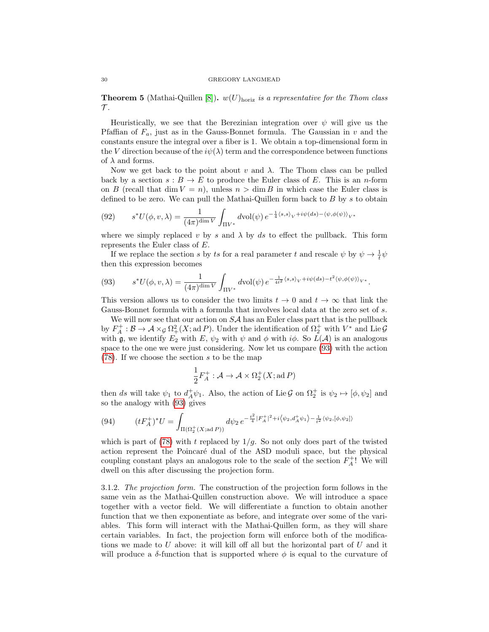**Theorem 5** (Mathai-Quillen [\[8\]](#page-38-7)).  $w(U)_{\text{horiz}}$  is a representative for the Thom class  $\tau$ .

Heuristically, we see that the Berezinian integration over  $\psi$  will give us the Pfaffian of  $F_a$ , just as in the Gauss-Bonnet formula. The Gaussian in v and the constants ensure the integral over a fiber is 1. We obtain a top-dimensional form in the V direction because of the  $i\psi(\lambda)$  term and the correspondence between functions of  $\lambda$  and forms.

Now we get back to the point about v and  $\lambda$ . The Thom class can be pulled back by a section  $s : B \to E$  to produce the Euler class of E. This is an *n*-form on B (recall that dim  $V = n$ ), unless  $n > \dim B$  in which case the Euler class is defined to be zero. We can pull the Mathai-Quillen form back to  $B$  by s to obtain

(92) 
$$
s^*U(\phi, v, \lambda) = \frac{1}{(4\pi)^{\dim V}} \int_{\Pi V^*} d\text{vol}(\psi) e^{-\frac{1}{4}\langle s, s \rangle_V + i\psi(ds) - \langle \psi, \phi(\psi) \rangle_{V^*}}
$$

where we simply replaced v by s and  $\lambda$  by ds to effect the pullback. This form represents the Euler class of E.

If we replace the section s by ts for a real parameter t and rescale  $\psi$  by  $\psi \to \frac{1}{t}\psi$ then this expression becomes

<span id="page-29-0"></span>
$$
(93) \qquad s^*U(\phi, v, \lambda) = \frac{1}{(4\pi)^{\dim V}} \int_{\Pi V^*} d\text{vol}(\psi) \, e^{-\frac{1}{4t^2} \langle s, s \rangle_V + i\psi(ds) - t^2 \langle \psi, \phi(\psi) \rangle_{V^*}}.
$$

This version allows us to consider the two limits  $t \to 0$  and  $t \to \infty$  that link the Gauss-Bonnet formula with a formula that involves local data at the zero set of s.

We will now see that our action on  $S\mathcal{A}$  has an Euler class part that is the pullback by  $F_A^+:\mathcal{B}\to\mathcal{A}\times_{\mathcal{G}}\Omega^2_+(X;\mathrm{ad}\,P)$ . Under the identification of  $\Omega^+_2$  with  $V^*$  and Lie  $\mathcal{G}$ with g, we identify  $E_2$  with  $E$ ,  $\psi_2$  with  $\psi$  and  $\phi$  with  $i\phi$ . So  $L(\mathcal{A})$  is an analogous space to the one we were just considering. Now let us compare [\(93\)](#page-29-0) with the action [\(78\)](#page-24-0). If we choose the section s to be the map

$$
\frac{1}{2}F_A^+ : \mathcal{A} \to \mathcal{A} \times \Omega_2^+(X; \text{ad } P)
$$

then ds will take  $\psi_1$  to  $d_A^+\psi_1$ . Also, the action of Lie G on  $\Omega_2^+$  is  $\psi_2 \mapsto [\phi, \psi_2]$  and so the analogy with [\(93\)](#page-29-0) gives

<span id="page-29-1"></span>
$$
(94) \qquad (tF_A^+)^*U = \int_{\Pi(\Omega_2^+(X;\text{ad }P))} d\psi_2 \, e^{-\frac{t^2}{4}|F_A^+|^2 + i\langle\psi_2, d_A^+\psi_1\rangle - \frac{1}{t^2}\langle\psi_2, [\phi, \psi_2]\rangle}
$$

which is part of [\(78\)](#page-24-0) with t replaced by  $1/g$ . So not only does part of the twisted action represent the Poincaré dual of the ASD moduli space, but the physical coupling constant plays an analogous role to the scale of the section  $F_A^+$ ! We will dwell on this after discussing the projection form.

3.1.2. The projection form. The construction of the projection form follows in the same vein as the Mathai-Quillen construction above. We will introduce a space together with a vector field. We will differentiate a function to obtain another function that we then exponentiate as before, and integrate over some of the variables. This form will interact with the Mathai-Quillen form, as they will share certain variables. In fact, the projection form will enforce both of the modifications we made to  $U$  above: it will kill off all but the horizontal part of  $U$  and it will produce a  $\delta$ -function that is supported where  $\phi$  is equal to the curvature of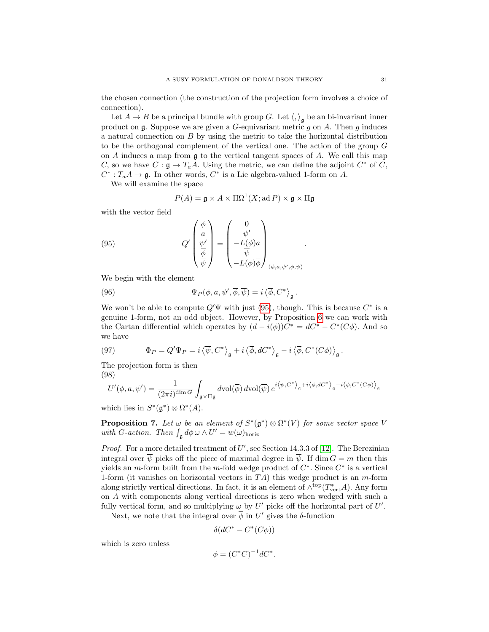the chosen connection (the construction of the projection form involves a choice of connection).

Let  $A \to B$  be a principal bundle with group G. Let  $\langle, \rangle_{\mathfrak{g}}$  be an bi-invariant inner product on  $\mathfrak g$ . Suppose we are given a G-equivariant metric  $g$  on  $A$ . Then  $g$  induces a natural connection on B by using the metric to take the horizontal distribution to be the orthogonal complement of the vertical one. The action of the group G on A induces a map from  $\mathfrak g$  to the vertical tangent spaces of A. We call this map C, so we have  $C : \mathfrak{g} \to T_a A$ . Using the metric, we can define the adjoint  $C^*$  of C,  $C^*: T_a A \to \mathfrak{g}$ . In other words,  $C^*$  is a Lie algebra-valued 1-form on A.

We will examine the space

<span id="page-30-0"></span>
$$
P(A) = \mathfrak{g} \times A \times \Pi\Omega^1(X; \mathrm{ad}\,P) \times \mathfrak{g} \times \Pi\mathfrak{g}
$$

.

with the vector field

(95) 
$$
Q'\begin{pmatrix} \phi \\ a \\ \frac{\psi'}{\phi} \\ \frac{\psi}{\psi} \end{pmatrix} = \begin{pmatrix} 0 \\ \psi' \\ -L(\phi)a \\ -L(\phi)\overline{\phi} \end{pmatrix}_{(\phi, a, \psi', \overline{\phi}, \overline{\psi})}
$$

We begin with the element

(96) 
$$
\Psi_P(\phi, a, \psi', \overline{\phi}, \overline{\psi}) = i \langle \overline{\phi}, C^* \rangle_{\mathfrak{g}}.
$$

We won't be able to compute  $Q' \Psi$  with just [\(95\)](#page-30-0), though. This is because  $C^*$  is a genuine 1-form, not an odd object. However, by Proposition [6](#page-27-1) we can work with the Cartan differential which operates by  $(d - i(\phi))C^* = dC^* - C^*(C\phi)$ . And so we have

(97) 
$$
\Phi_P = Q' \Psi_P = i \left\langle \overline{\psi}, C^* \right\rangle_{\mathfrak{g}} + i \left\langle \overline{\phi}, d C^* \right\rangle_{\mathfrak{g}} - i \left\langle \overline{\phi}, C^*(C\phi) \right\rangle_{\mathfrak{g}}.
$$

The projection form is then

(98)

$$
U'(\phi, a, \psi') = \frac{1}{(2\pi i)^{\dim G}} \int_{\mathfrak{g} \times \Pi \mathfrak{g}} d\text{vol}(\overline{\phi}) d\text{vol}(\overline{\psi}) e^{i \langle \overline{\psi}, C^* \rangle_{\mathfrak{g}} + i \langle \overline{\phi}, dC^* \rangle_{\mathfrak{g}} - i \langle \overline{\phi}, C^*(C\phi) \rangle_{\mathfrak{g}}}
$$

which lies in  $S^*(\mathfrak{g}^*)\otimes \Omega^*(A)$ .

**Proposition 7.** Let  $\omega$  be an element of  $S^*(\mathfrak{g}^*) \otimes \Omega^*(V)$  for some vector space V with G-action. Then  $\int_{\mathfrak{g}} d\phi \,\omega \wedge U' = w(\omega)_{\text{horiz}}$ 

*Proof.* For a more detailed treatment of  $U'$ , see Section 14.3.3 of [\[12\]](#page-38-11). The Berezinian integral over  $\overline{\psi}$  picks off the piece of maximal degree in  $\overline{\psi}$ . If dim  $G = m$  then this yields an m-form built from the m-fold wedge product of  $C^*$ . Since  $C^*$  is a vertical 1-form (it vanishes on horizontal vectors in  $TA$ ) this wedge product is an m-form along strictly vertical directions. In fact, it is an element of  $\wedge^{top}(T^*_{vert}A)$ . Any form on A with components along vertical directions is zero when wedged with such a fully vertical form, and so multiplying  $\omega$  by U' picks off the horizontal part of U'.

Next, we note that the integral over  $\overline{\phi}$  in U' gives the  $\delta$ -function

$$
\delta(dC^* - C^*(C\phi))
$$

which is zero unless

$$
\phi = (C^*C)^{-1}dC^*.
$$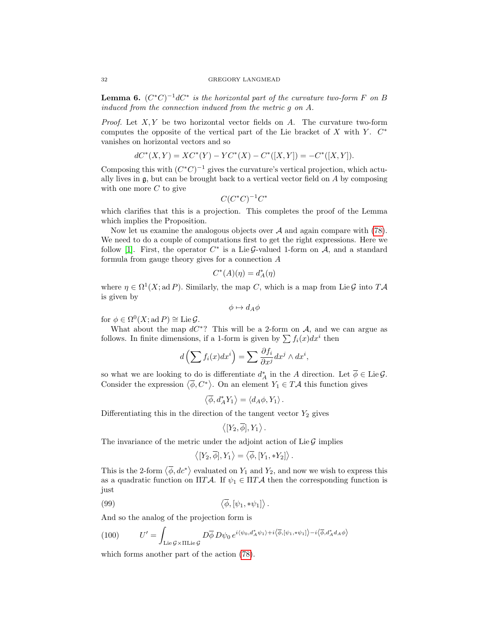**Lemma 6.**  $(C^*C)^{-1}dC^*$  is the horizontal part of the curvature two-form F on B induced from the connection induced from the metric g on A.

*Proof.* Let  $X, Y$  be two horizontal vector fields on  $A$ . The curvature two-form computes the opposite of the vertical part of the Lie bracket of  $X$  with  $Y$ .  $C^*$ vanishes on horizontal vectors and so

$$
dC^*(X,Y) = XC^*(Y) - YC^*(X) - C^*([X,Y]) = -C^*([X,Y]).
$$

Composing this with  $(C^*C)^{-1}$  gives the curvature's vertical projection, which actually lives in  $\mathfrak{g}$ , but can be brought back to a vertical vector field on A by composing with one more  $C$  to give

$$
C(C^*C)^{-1}C^*
$$

which clarifies that this is a projection. This completes the proof of the Lemma which implies the Proposition.

Now let us examine the analogous objects over  $A$  and again compare with [\(78\)](#page-24-0). We need to do a couple of computations first to get the right expressions. Here we follow [\[1\]](#page-38-0). First, the operator  $C^*$  is a Lie G-valued 1-form on  $A$ , and a standard formula from gauge theory gives for a connection A

$$
C^*(A)(\eta) = d_A^*(\eta)
$$

where  $\eta \in \Omega^1(X; \mathrm{ad} P)$ . Similarly, the map C, which is a map from Lie G into TA is given by

$$
\phi \mapsto d_A \phi
$$

for  $\phi \in \Omega^0(X; \mathrm{ad} P) \cong \mathrm{Lie} \mathcal{G}.$ 

What about the map  $dC^*$ ? This will be a 2-form on A, and we can argue as follows. In finite dimensions, if a 1-form is given by  $\sum f_i(x)dx^i$  then

$$
d\left(\sum f_i(x)dx^i\right) = \sum \frac{\partial f_i}{\partial x^j} dx^j \wedge dx^i,
$$

so what we are looking to do is differentiate  $d_A^*$  in the A direction. Let  $\overline{\phi} \in \text{Lie } \mathcal{G}$ . Consider the expression  $\langle \overline{\phi}, C^* \rangle$ . On an element  $Y_1 \in T\mathcal{A}$  this function gives

$$
\langle \overline{\phi}, d_A^* Y_1 \rangle = \langle d_A \phi, Y_1 \rangle.
$$

Differentiating this in the direction of the tangent vector  $Y_2$  gives

$$
\langle [Y_2,\overline{\phi}],Y_1\rangle.
$$

The invariance of the metric under the adjoint action of Lie  $\mathcal G$  implies

$$
\left\langle [Y_2,\overline{\phi}],Y_1\right\rangle = \left\langle \overline{\phi},[Y_1,*Y_2]\right\rangle.
$$

This is the 2-form  $\langle \overline{\phi}, d\overline{c^*} \rangle$  evaluated on  $Y_1$  and  $Y_2$ , and now we wish to express this as a quadratic function on  $\Pi T\mathcal{A}$ . If  $\psi_1 \in \Pi T\mathcal{A}$  then the corresponding function is just

$$
\langle \overline{\phi}, [\psi_1, * \psi_1] \rangle.
$$

And so the analog of the projection form is

(100) 
$$
U' = \int_{\text{Lie}\, \mathcal{G} \times \text{IIIie}\, \mathcal{G}} D\overline{\phi} \, D\psi_0 \, e^{i\langle \psi_0, d_A^* \psi_1 \rangle + i\langle \overline{\phi}, [\psi_1, * \psi_1] \rangle - i\langle \overline{\phi}, d_A^* d_A \phi \rangle}
$$

which forms another part of the action [\(78\)](#page-24-0).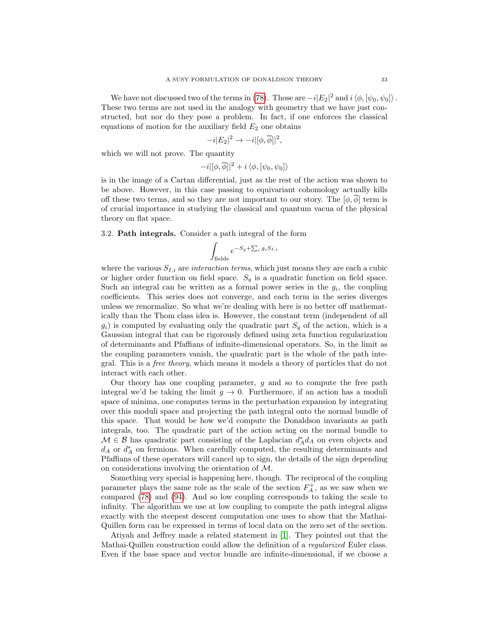We have not discussed two of the terms in [\(78\)](#page-24-0). Those are  $-i|E_2|^2$  and  $i \langle \phi, [\psi_0, \psi_0] \rangle$ . These two terms are not used in the analogy with geometry that we have just constructed, but nor do they pose a problem. In fact, if one enforces the classical equations of motion for the auxiliary field  $E_2$  one obtains

$$
-i|E_2|^2 \to -i|[\phi,\overline{\phi}]|^2,
$$

which we will not prove. The quantity

$$
-i|[\phi,\overline{\phi}]|^2 + i \langle \phi, [\psi_0,\psi_0] \rangle
$$

is in the image of a Cartan differential, just as the rest of the action was shown to be above. However, in this case passing to equivariant cohomology actually kills off these two terms, and so they are not important to our story. The  $[\phi, \overline{\phi}]$  term is of crucial importance in studying the classical and quantum vacua of the physical theory on flat space.

3.2. Path integrals. Consider a path integral of the form

$$
\int_{\text{fields}} e^{-S_q + \sum_i g_i S_{I,i}}
$$

where the various  $S_{I,i}$  are *interaction terms*, which just means they are each a cubic or higher order function on field space.  $S_q$  is a quadratic function on field space. Such an integral can be written as a formal power series in the  $g_i$ , the coupling coefficients. This series does not converge, and each term in the series diverges unless we renormalize. So what we're dealing with here is no better off mathematically than the Thom class idea is. However, the constant term (independent of all  $g_i$ ) is computed by evaluating only the quadratic part  $S_q$  of the action, which is a Gaussian integral that can be rigorously defined using zeta function regularization of determinants and Pfaffians of infinite-dimensional operators. So, in the limit as the coupling parameters vanish, the quadratic part is the whole of the path integral. This is a free theory, which means it models a theory of particles that do not interact with each other.

Our theory has one coupling parameter,  $g$  and so to compute the free path integral we'd be taking the limit  $g \to 0$ . Furthermore, if an action has a moduli space of minima, one computes terms in the perturbation expansion by integrating over this moduli space and projecting the path integral onto the normal bundle of this space. That would be how we'd compute the Donaldson invariants as path integrals, too. The quadratic part of the action acting on the normal bundle to  $\mathcal{M} \in \mathcal{B}$  has quadratic part consisting of the Laplacian  $d_A^* d_A$  on even objects and  $d_A$  or  $d_A^*$  on fermions. When carefully computed, the resulting determinants and Pfaffians of these operators will cancel up to sign, the details of the sign depending on considerations involving the orientation of M.

Something very special is happening here, though. The reciprocal of the coupling parameter plays the same role as the scale of the section  $F_A^+$ , as we saw when we compared [\(78\)](#page-24-0) and [\(94\)](#page-29-1). And so low coupling corresponds to taking the scale to infinity. The algorithm we use at low coupling to compute the path integral aligns exactly with the steepest descent computation one uses to show that the Mathai-Quillen form can be expressed in terms of local data on the zero set of the section.

Atiyah and Jeffrey made a related statement in [\[1\]](#page-38-0). They pointed out that the Mathai-Quillen construction could allow the definition of a regularized Euler class. Even if the base space and vector bundle are infinite-dimensional, if we choose a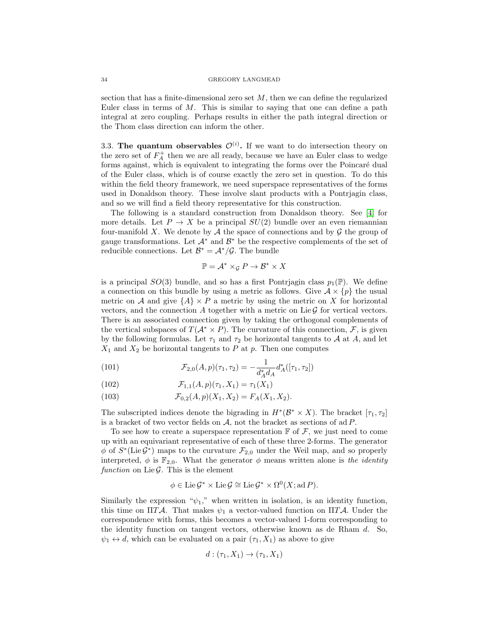#### 34 GREGORY LANGMEAD

section that has a finite-dimensional zero set  $M$ , then we can define the regularized Euler class in terms of  $M$ . This is similar to saying that one can define a path integral at zero coupling. Perhaps results in either the path integral direction or the Thom class direction can inform the other.

3.3. The quantum observables  $\mathcal{O}^{(i)}$ . If we want to do intersection theory on the zero set of  $F_A^+$  then we are all ready, because we have an Euler class to wedge forms against, which is equivalent to integrating the forms over the Poincaré dual of the Euler class, which is of course exactly the zero set in question. To do this within the field theory framework, we need superspace representatives of the forms used in Donaldson theory. These involve slant products with a Pontrjagin class, and so we will find a field theory representative for this construction.

The following is a standard construction from Donaldson theory. See [\[4\]](#page-38-3) for more details. Let  $P \to X$  be a principal  $SU(2)$  bundle over an even riemannian four-manifold X. We denote by  $A$  the space of connections and by  $G$  the group of gauge transformations. Let  $\mathcal{A}^*$  and  $\mathcal{B}^*$  be the respective complements of the set of reducible connections. Let  $\mathcal{B}^* = \mathcal{A}^*/\mathcal{G}$ . The bundle

$$
\mathbb{P} = \mathcal{A}^* \times_{\mathcal{G}} P \to \mathcal{B}^* \times X
$$

is a principal  $SO(3)$  bundle, and so has a first Pontriagin class  $p_1(\mathbb{P})$ . We define a connection on this bundle by using a metric as follows. Give  $A \times \{p\}$  the usual metric on A and give  $\{A\} \times P$  a metric by using the metric on X for horizontal vectors, and the connection  $A$  together with a metric on Lie  $\mathcal G$  for vertical vectors. There is an associated connection given by taking the orthogonal complements of the vertical subspaces of  $T(A^* \times P)$ . The curvature of this connection, F, is given by the following formulas. Let  $\tau_1$  and  $\tau_2$  be horizontal tangents to A at A, and let  $X_1$  and  $X_2$  be horizontal tangents to P at p. Then one computes

(101) 
$$
\mathcal{F}_{2,0}(A,p)(\tau_1,\tau_2) = -\frac{1}{d_A^*d_A}d_A^*([\tau_1,\tau_2])
$$

(102) 
$$
\mathcal{F}_{1,1}(A,p)(\tau_1,X_1)=\tau_1(X_1)
$$

(103) 
$$
\mathcal{F}_{0,2}(A,p)(X_1,X_2) = F_A(X_1,X_2).
$$

The subscripted indices denote the bigrading in  $H^*(\mathcal{B}^* \times X)$ . The bracket  $[\tau_1, \tau_2]$ is a bracket of two vector fields on  $A$ , not the bracket as sections of ad  $P$ .

To see how to create a superspace representation  $\mathbb F$  of  $\mathcal F$ , we just need to come up with an equivariant representative of each of these three 2-forms. The generator  $\phi$  of  $S^*(\text{Lie}\,\mathcal{G}^*)$  maps to the curvature  $\mathcal{F}_{2,0}$  under the Weil map, and so properly interpreted,  $\phi$  is  $\mathbb{F}_{2,0}$ . What the generator  $\phi$  means written alone is the *identity* function on Lie  $\mathcal G$ . This is the element

$$
\phi \in \text{Lie}\,\mathcal{G}^* \times \text{Lie}\,\mathcal{G} \cong \text{Lie}\,\mathcal{G}^* \times \Omega^0(X; \text{ad}\,P).
$$

Similarly the expression " $\psi_1$ ," when written in isolation, is an identity function, this time on ΠTA. That makes  $\psi_1$  a vector-valued function on ΠTA. Under the correspondence with forms, this becomes a vector-valued 1-form corresponding to the identity function on tangent vectors, otherwise known as de Rham  $d$ . So,  $\psi_1 \leftrightarrow d$ , which can be evaluated on a pair  $(\tau_1, X_1)$  as above to give

$$
d: (\tau_1, X_1) \to (\tau_1, X_1)
$$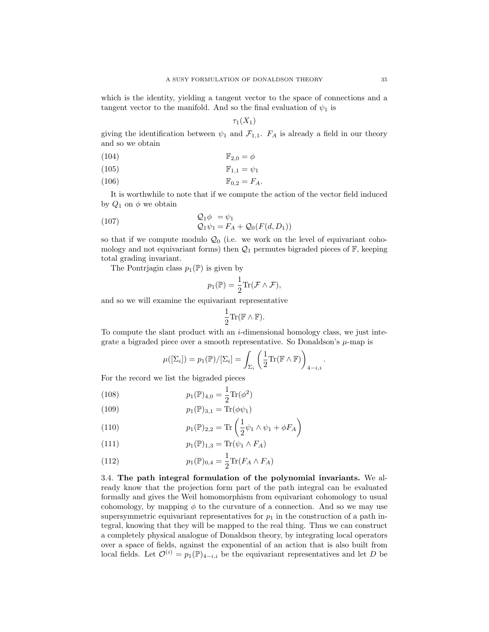which is the identity, yielding a tangent vector to the space of connections and a tangent vector to the manifold. And so the final evaluation of  $\psi_1$  is

$$
\tau_1(X_1)
$$

giving the identification between  $\psi_1$  and  $\mathcal{F}_{1,1}$ .  $F_A$  is already a field in our theory and so we obtain

$$
\mathbb{F}_{2,0} = \phi
$$

$$
\mathbb{F}_{1,1} = \psi_1
$$

$$
\mathbb{F}_{0,2} = F_A.
$$

It is worthwhile to note that if we compute the action of the vector field induced by  $Q_1$  on  $\phi$  we obtain

(107) 
$$
Q_1 \phi = \psi_1
$$

$$
Q_1 \psi_1 = F_A + Q_0(F(d, D_1))
$$

so that if we compute modulo  $\mathcal{Q}_0$  (i.e. we work on the level of equivariant cohomology and not equivariant forms) then  $\mathcal{Q}_1$  permutes bigraded pieces of  $\mathbb{F}$ , keeping total grading invariant.

The Pontriagin class  $p_1(\mathbb{P})$  is given by

$$
p_1(\mathbb{P}) = \frac{1}{2} \text{Tr}(\mathcal{F} \wedge \mathcal{F}),
$$

and so we will examine the equivariant representative

$$
\frac{1}{2}\mathrm{Tr}(\mathbb{F}\wedge\mathbb{F}).
$$

To compute the slant product with an  $i$ -dimensional homology class, we just integrate a bigraded piece over a smooth representative. So Donaldson's  $\mu$ -map is

$$
\mu([\Sigma_i]) = p_1(\mathbb{P})/[\Sigma_i] = \int_{\Sigma_i} \left(\frac{1}{2}\text{Tr}(\mathbb{F}\wedge\mathbb{F})\right)_{4-i,i}.
$$

For the record we list the bigraded pieces

(108) 
$$
p_1(\mathbb{P})_{4,0} = \frac{1}{2} \text{Tr}(\phi^2)
$$

(109) 
$$
p_1(\mathbb{P})_{3,1} = \text{Tr}(\phi \psi_1)
$$

(110) 
$$
p_1(\mathbb{P})_{2,2} = \text{Tr}\left(\frac{1}{2}\psi_1 \wedge \psi_1 + \phi F_A\right)
$$

(111) 
$$
p_1(\mathbb{P})_{1,3} = \text{Tr}(\psi_1 \wedge F_A)
$$

(112) 
$$
p_1(\mathbb{P})_{0,4} = \frac{1}{2} \text{Tr}(F_A \wedge F_A)
$$

3.4. The path integral formulation of the polynomial invariants. We already know that the projection form part of the path integral can be evaluated formally and gives the Weil homomorphism from equivariant cohomology to usual cohomology, by mapping  $\phi$  to the curvature of a connection. And so we may use supersymmetric equivariant representatives for  $p_1$  in the construction of a path integral, knowing that they will be mapped to the real thing. Thus we can construct a completely physical analogue of Donaldson theory, by integrating local operators over a space of fields, against the exponential of an action that is also built from local fields. Let  $\mathcal{O}^{(i)} = p_1(\mathbb{P})_{4-i,i}$  be the equivariant representatives and let D be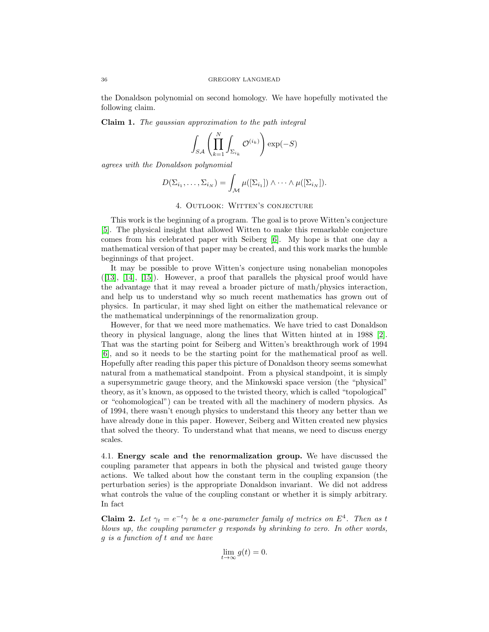the Donaldson polynomial on second homology. We have hopefully motivated the following claim.

Claim 1. The gaussian approximation to the path integral

$$
\int_{SA} \left( \prod_{k=1}^{N} \int_{\Sigma_{i_k}} \mathcal{O}^{(i_k)} \right) \exp(-S)
$$

agrees with the Donaldson polynomial

$$
D(\Sigma_{i_1},\ldots,\Sigma_{i_N})=\int_{\mathcal{M}}\mu([\Sigma_{i_1}])\wedge\cdots\wedge\mu([\Sigma_{i_N}]).
$$

# 4. Outlook: Witten's conjecture

This work is the beginning of a program. The goal is to prove Witten's conjecture [\[5\]](#page-38-4). The physical insight that allowed Witten to make this remarkable conjecture comes from his celebrated paper with Seiberg [\[6\]](#page-38-5). My hope is that one day a mathematical version of that paper may be created, and this work marks the humble beginnings of that project.

It may be possible to prove Witten's conjecture using nonabelian monopoles  $([13], [14], [15])$  $([13], [14], [15])$  $([13], [14], [15])$  $([13], [14], [15])$  $([13], [14], [15])$  $([13], [14], [15])$  $([13], [14], [15])$ . However, a proof that parallels the physical proof would have the advantage that it may reveal a broader picture of math/physics interaction, and help us to understand why so much recent mathematics has grown out of physics. In particular, it may shed light on either the mathematical relevance or the mathematical underpinnings of the renormalization group.

However, for that we need more mathematics. We have tried to cast Donaldson theory in physical language, along the lines that Witten hinted at in 1988 [\[2\]](#page-38-1). That was the starting point for Seiberg and Witten's breakthrough work of 1994 [\[6\]](#page-38-5), and so it needs to be the starting point for the mathematical proof as well. Hopefully after reading this paper this picture of Donaldson theory seems somewhat natural from a mathematical standpoint. From a physical standpoint, it is simply a supersymmetric gauge theory, and the Minkowski space version (the "physical" theory, as it's known, as opposed to the twisted theory, which is called "topological" or "cohomological") can be treated with all the machinery of modern physics. As of 1994, there wasn't enough physics to understand this theory any better than we have already done in this paper. However, Seiberg and Witten created new physics that solved the theory. To understand what that means, we need to discuss energy scales.

4.1. Energy scale and the renormalization group. We have discussed the coupling parameter that appears in both the physical and twisted gauge theory actions. We talked about how the constant term in the coupling expansion (the perturbation series) is the appropriate Donaldson invariant. We did not address what controls the value of the coupling constant or whether it is simply arbitrary. In fact

**Claim 2.** Let  $\gamma_t = e^{-t} \gamma$  be a one-parameter family of metrics on  $E^4$ . Then as t blows up, the coupling parameter g responds by shrinking to zero. In other words, g is a function of t and we have

$$
\lim_{t \to \infty} g(t) = 0.
$$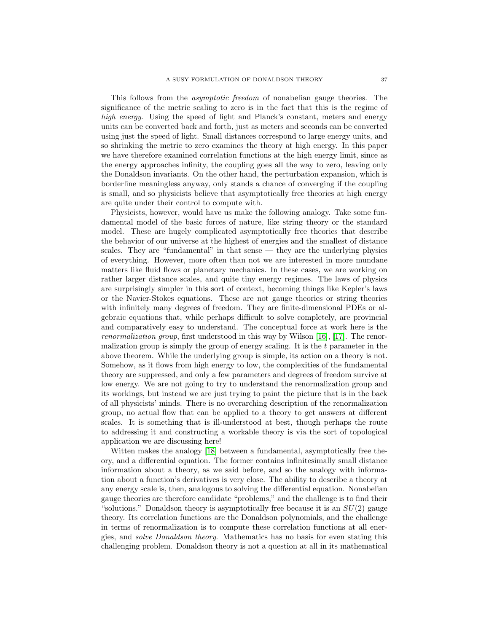This follows from the asymptotic freedom of nonabelian gauge theories. The significance of the metric scaling to zero is in the fact that this is the regime of high energy. Using the speed of light and Planck's constant, meters and energy units can be converted back and forth, just as meters and seconds can be converted using just the speed of light. Small distances correspond to large energy units, and so shrinking the metric to zero examines the theory at high energy. In this paper we have therefore examined correlation functions at the high energy limit, since as the energy approaches infinity, the coupling goes all the way to zero, leaving only the Donaldson invariants. On the other hand, the perturbation expansion, which is borderline meaningless anyway, only stands a chance of converging if the coupling is small, and so physicists believe that asymptotically free theories at high energy are quite under their control to compute with.

Physicists, however, would have us make the following analogy. Take some fundamental model of the basic forces of nature, like string theory or the standard model. These are hugely complicated asymptotically free theories that describe the behavior of our universe at the highest of energies and the smallest of distance scales. They are "fundamental" in that sense — they are the underlying physics of everything. However, more often than not we are interested in more mundane matters like fluid flows or planetary mechanics. In these cases, we are working on rather larger distance scales, and quite tiny energy regimes. The laws of physics are surprisingly simpler in this sort of context, becoming things like Kepler's laws or the Navier-Stokes equations. These are not gauge theories or string theories with infinitely many degrees of freedom. They are finite-dimensional PDEs or algebraic equations that, while perhaps difficult to solve completely, are provincial and comparatively easy to understand. The conceptual force at work here is the renormalization group, first understood in this way by Wilson [\[16\]](#page-38-15), [\[17\]](#page-38-16). The renormalization group is simply the group of energy scaling. It is the  $t$  parameter in the above theorem. While the underlying group is simple, its action on a theory is not. Somehow, as it flows from high energy to low, the complexities of the fundamental theory are suppressed, and only a few parameters and degrees of freedom survive at low energy. We are not going to try to understand the renormalization group and its workings, but instead we are just trying to paint the picture that is in the back of all physicists' minds. There is no overarching description of the renormalization group, no actual flow that can be applied to a theory to get answers at different scales. It is something that is ill-understood at best, though perhaps the route to addressing it and constructing a workable theory is via the sort of topological application we are discussing here!

Witten makes the analogy [\[18\]](#page-38-17) between a fundamental, asymptotically free theory, and a differential equation. The former contains infinitesimally small distance information about a theory, as we said before, and so the analogy with information about a function's derivatives is very close. The ability to describe a theory at any energy scale is, then, analogous to solving the differential equation. Nonabelian gauge theories are therefore candidate "problems," and the challenge is to find their "solutions." Donaldson theory is asymptotically free because it is an  $SU(2)$  gauge theory. Its correlation functions are the Donaldson polynomials, and the challenge in terms of renormalization is to compute these correlation functions at all energies, and solve Donaldson theory. Mathematics has no basis for even stating this challenging problem. Donaldson theory is not a question at all in its mathematical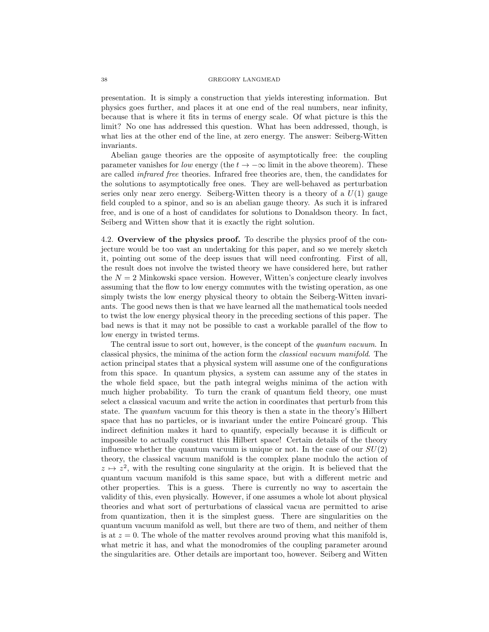### 38 GREGORY LANGMEAD

presentation. It is simply a construction that yields interesting information. But physics goes further, and places it at one end of the real numbers, near infinity, because that is where it fits in terms of energy scale. Of what picture is this the limit? No one has addressed this question. What has been addressed, though, is what lies at the other end of the line, at zero energy. The answer: Seiberg-Witten invariants.

Abelian gauge theories are the opposite of asymptotically free: the coupling parameter vanishes for low energy (the  $t \to -\infty$  limit in the above theorem). These are called infrared free theories. Infrared free theories are, then, the candidates for the solutions to asymptotically free ones. They are well-behaved as perturbation series only near zero energy. Seiberg-Witten theory is a theory of a  $U(1)$  gauge field coupled to a spinor, and so is an abelian gauge theory. As such it is infrared free, and is one of a host of candidates for solutions to Donaldson theory. In fact, Seiberg and Witten show that it is exactly the right solution.

4.2. Overview of the physics proof. To describe the physics proof of the conjecture would be too vast an undertaking for this paper, and so we merely sketch it, pointing out some of the deep issues that will need confronting. First of all, the result does not involve the twisted theory we have considered here, but rather the  $N = 2$  Minkowski space version. However, Witten's conjecture clearly involves assuming that the flow to low energy commutes with the twisting operation, as one simply twists the low energy physical theory to obtain the Seiberg-Witten invariants. The good news then is that we have learned all the mathematical tools needed to twist the low energy physical theory in the preceding sections of this paper. The bad news is that it may not be possible to cast a workable parallel of the flow to low energy in twisted terms.

The central issue to sort out, however, is the concept of the *quantum vacuum*. In classical physics, the minima of the action form the classical vacuum manifold. The action principal states that a physical system will assume one of the configurations from this space. In quantum physics, a system can assume any of the states in the whole field space, but the path integral weighs minima of the action with much higher probability. To turn the crank of quantum field theory, one must select a classical vacuum and write the action in coordinates that perturb from this state. The quantum vacuum for this theory is then a state in the theory's Hilbert space that has no particles, or is invariant under the entire Poincaré group. This indirect definition makes it hard to quantify, especially because it is difficult or impossible to actually construct this Hilbert space! Certain details of the theory influence whether the quantum vacuum is unique or not. In the case of our  $SU(2)$ theory, the classical vacuum manifold is the complex plane modulo the action of  $z \mapsto z^2$ , with the resulting cone singularity at the origin. It is believed that the quantum vacuum manifold is this same space, but with a different metric and other properties. This is a guess. There is currently no way to ascertain the validity of this, even physically. However, if one assumes a whole lot about physical theories and what sort of perturbations of classical vacua are permitted to arise from quantization, then it is the simplest guess. There are singularities on the quantum vacuum manifold as well, but there are two of them, and neither of them is at  $z = 0$ . The whole of the matter revolves around proving what this manifold is, what metric it has, and what the monodromies of the coupling parameter around the singularities are. Other details are important too, however. Seiberg and Witten